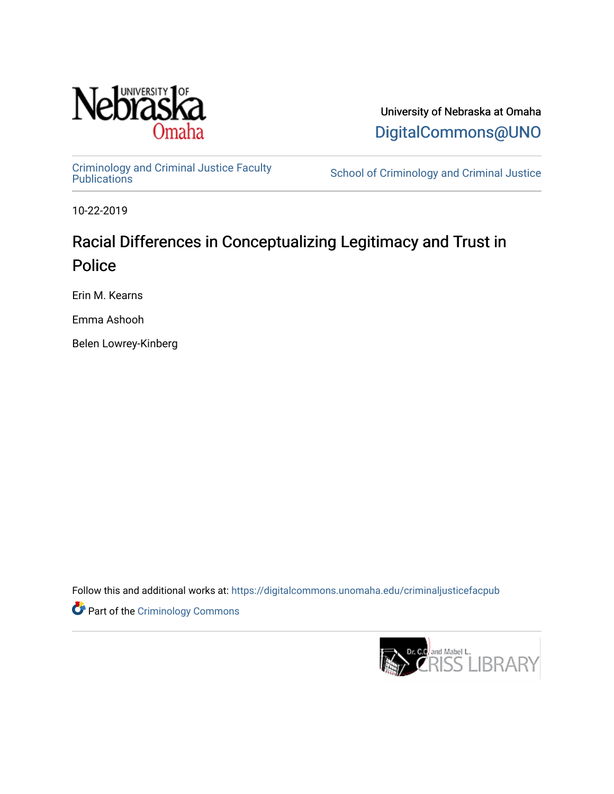

University of Nebraska at Omaha [DigitalCommons@UNO](https://digitalcommons.unomaha.edu/) 

[Criminology and Criminal Justice Faculty](https://digitalcommons.unomaha.edu/criminaljusticefacpub)

School of Criminology and Criminal Justice

10-22-2019

## Racial Differences in Conceptualizing Legitimacy and Trust in Police

Erin M. Kearns

Emma Ashooh

Belen Lowrey-Kinberg

Follow this and additional works at: [https://digitalcommons.unomaha.edu/criminaljusticefacpub](https://digitalcommons.unomaha.edu/criminaljusticefacpub?utm_source=digitalcommons.unomaha.edu%2Fcriminaljusticefacpub%2F125&utm_medium=PDF&utm_campaign=PDFCoverPages) 

**Part of the Criminology Commons** 

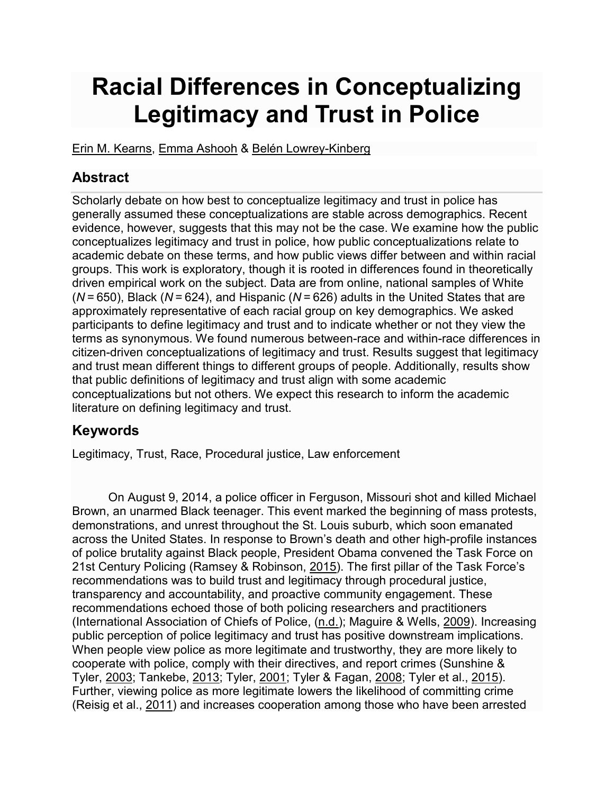# **Racial Differences in Conceptualizing Legitimacy and Trust in Police**

[Erin M. Kearns,](https://link.springer.com/article/10.1007/s12103-019-09501-8#auth-Erin_M_-Kearns) [Emma Ashooh](https://link.springer.com/article/10.1007/s12103-019-09501-8#auth-Emma-Ashooh) & [Belén Lowrey-Kinberg](https://link.springer.com/article/10.1007/s12103-019-09501-8#auth-Bel_n-Lowrey_Kinberg) 

## **Abstract**

Scholarly debate on how best to conceptualize legitimacy and trust in police has generally assumed these conceptualizations are stable across demographics. Recent evidence, however, suggests that this may not be the case. We examine how the public conceptualizes legitimacy and trust in police, how public conceptualizations relate to academic debate on these terms, and how public views differ between and within racial groups. This work is exploratory, though it is rooted in differences found in theoretically driven empirical work on the subject. Data are from online, national samples of White (*N* = 650), Black (*N* = 624), and Hispanic (*N* = 626) adults in the United States that are approximately representative of each racial group on key demographics. We asked participants to define legitimacy and trust and to indicate whether or not they view the terms as synonymous. We found numerous between-race and within-race differences in citizen-driven conceptualizations of legitimacy and trust. Results suggest that legitimacy and trust mean different things to different groups of people. Additionally, results show that public definitions of legitimacy and trust align with some academic conceptualizations but not others. We expect this research to inform the academic literature on defining legitimacy and trust.

## **Keywords**

Legitimacy, Trust, Race, Procedural justice, Law enforcement

On August 9, 2014, a police officer in Ferguson, Missouri shot and killed Michael Brown, an unarmed Black teenager. This event marked the beginning of mass protests, demonstrations, and unrest throughout the St. Louis suburb, which soon emanated across the United States. In response to Brown's death and other high-profile instances of police brutality against Black people, President Obama convened the Task Force on 21st Century Policing (Ramsey & Robinson, [2015\)](https://link.springer.com/article/10.1007/s12103-019-09501-8#ref-CR55). The first pillar of the Task Force's recommendations was to build trust and legitimacy through procedural justice, transparency and accountability, and proactive community engagement. These recommendations echoed those of both policing researchers and practitioners (International Association of Chiefs of Police, ([n.d.](https://link.springer.com/article/10.1007/s12103-019-09501-8#ref-CR23)); Maguire & Wells, [2009\)](https://link.springer.com/article/10.1007/s12103-019-09501-8#ref-CR43). Increasing public perception of police legitimacy and trust has positive downstream implications. When people view police as more legitimate and trustworthy, they are more likely to cooperate with police, comply with their directives, and report crimes (Sunshine & Tyler, [2003;](https://link.springer.com/article/10.1007/s12103-019-09501-8#ref-CR64) Tankebe, [2013;](https://link.springer.com/article/10.1007/s12103-019-09501-8#ref-CR66) Tyler, [2001;](https://link.springer.com/article/10.1007/s12103-019-09501-8#ref-CR73) Tyler & Fagan, [2008;](https://link.springer.com/article/10.1007/s12103-019-09501-8#ref-CR78) Tyler et al., [2015\)](https://link.springer.com/article/10.1007/s12103-019-09501-8#ref-CR82). Further, viewing police as more legitimate lowers the likelihood of committing crime (Reisig et al., [2011\)](https://link.springer.com/article/10.1007/s12103-019-09501-8#ref-CR57) and increases cooperation among those who have been arrested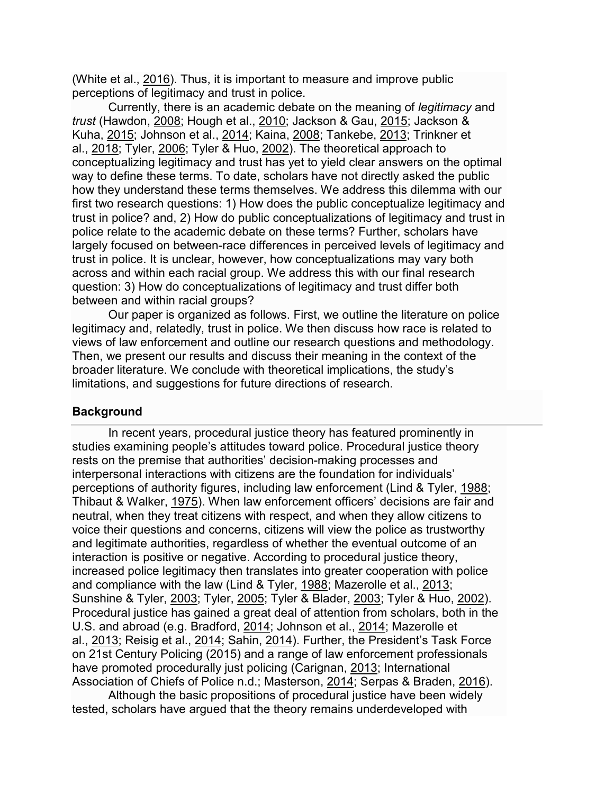(White et al., [2016\)](https://link.springer.com/article/10.1007/s12103-019-09501-8#ref-CR89). Thus, it is important to measure and improve public perceptions of legitimacy and trust in police.

Currently, there is an academic debate on the meaning of *legitimacy* and *trust* (Hawdon, [2008;](https://link.springer.com/article/10.1007/s12103-019-09501-8#ref-CR19) Hough et al., [2010;](https://link.springer.com/article/10.1007/s12103-019-09501-8#ref-CR22) Jackson & Gau, [2015;](https://link.springer.com/article/10.1007/s12103-019-09501-8#ref-CR25) Jackson & Kuha, [2015;](https://link.springer.com/article/10.1007/s12103-019-09501-8#ref-CR27) Johnson et al., [2014;](https://link.springer.com/article/10.1007/s12103-019-09501-8#ref-CR29) Kaina, [2008;](https://link.springer.com/article/10.1007/s12103-019-09501-8#ref-CR33) Tankebe, [2013;](https://link.springer.com/article/10.1007/s12103-019-09501-8#ref-CR66) Trinkner et al., [2018;](https://link.springer.com/article/10.1007/s12103-019-09501-8#ref-CR71) Tyler, [2006;](https://link.springer.com/article/10.1007/s12103-019-09501-8#ref-CR76) Tyler & Huo, [2002\)](https://link.springer.com/article/10.1007/s12103-019-09501-8#ref-CR80). The theoretical approach to conceptualizing legitimacy and trust has yet to yield clear answers on the optimal way to define these terms. To date, scholars have not directly asked the public how they understand these terms themselves. We address this dilemma with our first two research questions: 1) How does the public conceptualize legitimacy and trust in police? and, 2) How do public conceptualizations of legitimacy and trust in police relate to the academic debate on these terms? Further, scholars have largely focused on between-race differences in perceived levels of legitimacy and trust in police. It is unclear, however, how conceptualizations may vary both across and within each racial group. We address this with our final research question: 3) How do conceptualizations of legitimacy and trust differ both between and within racial groups?

Our paper is organized as follows. First, we outline the literature on police legitimacy and, relatedly, trust in police. We then discuss how race is related to views of law enforcement and outline our research questions and methodology. Then, we present our results and discuss their meaning in the context of the broader literature. We conclude with theoretical implications, the study's limitations, and suggestions for future directions of research.

#### **Background**

In recent years, procedural justice theory has featured prominently in studies examining people's attitudes toward police. Procedural justice theory rests on the premise that authorities' decision-making processes and interpersonal interactions with citizens are the foundation for individuals' perceptions of authority figures, including law enforcement (Lind & Tyler, [1988;](https://link.springer.com/article/10.1007/s12103-019-09501-8#ref-CR39) Thibaut & Walker, [1975\)](https://link.springer.com/article/10.1007/s12103-019-09501-8#ref-CR69). When law enforcement officers' decisions are fair and neutral, when they treat citizens with respect, and when they allow citizens to voice their questions and concerns, citizens will view the police as trustworthy and legitimate authorities, regardless of whether the eventual outcome of an interaction is positive or negative. According to procedural justice theory, increased police legitimacy then translates into greater cooperation with police and compliance with the law (Lind & Tyler, [1988;](https://link.springer.com/article/10.1007/s12103-019-09501-8#ref-CR39) Mazerolle et al., [2013;](https://link.springer.com/article/10.1007/s12103-019-09501-8#ref-CR46) Sunshine & Tyler, [2003;](https://link.springer.com/article/10.1007/s12103-019-09501-8#ref-CR64) Tyler, [2005;](https://link.springer.com/article/10.1007/s12103-019-09501-8#ref-CR75) Tyler & Blader, [2003;](https://link.springer.com/article/10.1007/s12103-019-09501-8#ref-CR77) Tyler & Huo, [2002\)](https://link.springer.com/article/10.1007/s12103-019-09501-8#ref-CR80). Procedural justice has gained a great deal of attention from scholars, both in the U.S. and abroad (e.g. Bradford, [2014;](https://link.springer.com/article/10.1007/s12103-019-09501-8#ref-CR7) Johnson et al., [2014;](https://link.springer.com/article/10.1007/s12103-019-09501-8#ref-CR29) Mazerolle et al., [2013;](https://link.springer.com/article/10.1007/s12103-019-09501-8#ref-CR46) Reisig et al., [2014;](https://link.springer.com/article/10.1007/s12103-019-09501-8#ref-CR56) Sahin, [2014\)](https://link.springer.com/article/10.1007/s12103-019-09501-8#ref-CR58). Further, the President's Task Force on 21st Century Policing (2015) and a range of law enforcement professionals have promoted procedurally just policing (Carignan, [2013;](https://link.springer.com/article/10.1007/s12103-019-09501-8#ref-CR10) International Association of Chiefs of Police n.d.; Masterson, [2014;](https://link.springer.com/article/10.1007/s12103-019-09501-8#ref-CR44) Serpas & Braden, [2016\)](https://link.springer.com/article/10.1007/s12103-019-09501-8#ref-CR62).

Although the basic propositions of procedural justice have been widely tested, scholars have argued that the theory remains underdeveloped with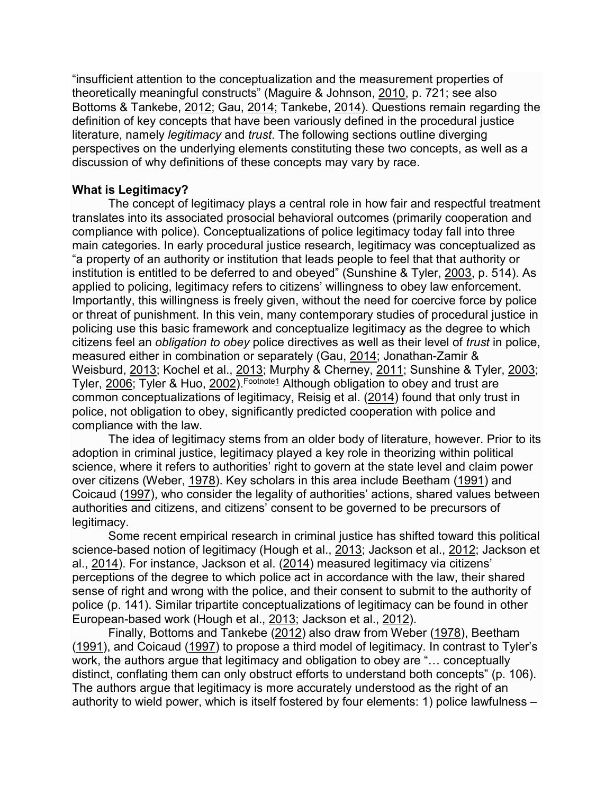"insufficient attention to the conceptualization and the measurement properties of theoretically meaningful constructs" (Maguire & Johnson, [2010,](https://link.springer.com/article/10.1007/s12103-019-09501-8#ref-CR42) p. 721; see also Bottoms & Tankebe, [2012;](https://link.springer.com/article/10.1007/s12103-019-09501-8#ref-CR5) Gau, [2014;](https://link.springer.com/article/10.1007/s12103-019-09501-8#ref-CR16) Tankebe, [2014\)](https://link.springer.com/article/10.1007/s12103-019-09501-8#ref-CR67). Questions remain regarding the definition of key concepts that have been variously defined in the procedural justice literature, namely *legitimacy* and *trust*. The following sections outline diverging perspectives on the underlying elements constituting these two concepts, as well as a discussion of why definitions of these concepts may vary by race.

#### **What is Legitimacy?**

The concept of legitimacy plays a central role in how fair and respectful treatment translates into its associated prosocial behavioral outcomes (primarily cooperation and compliance with police). Conceptualizations of police legitimacy today fall into three main categories. In early procedural justice research, legitimacy was conceptualized as "a property of an authority or institution that leads people to feel that that authority or institution is entitled to be deferred to and obeyed" (Sunshine & Tyler, [2003,](https://link.springer.com/article/10.1007/s12103-019-09501-8#ref-CR64) p. 514). As applied to policing, legitimacy refers to citizens' willingness to obey law enforcement. Importantly, this willingness is freely given, without the need for coercive force by police or threat of punishment. In this vein, many contemporary studies of procedural justice in policing use this basic framework and conceptualize legitimacy as the degree to which citizens feel an *obligation to obey* police directives as well as their level of *trust* in police, measured either in combination or separately (Gau, [2014;](https://link.springer.com/article/10.1007/s12103-019-09501-8#ref-CR16) Jonathan-Zamir & Weisburd, [2013;](https://link.springer.com/article/10.1007/s12103-019-09501-8#ref-CR31) Kochel et al., [2013;](https://link.springer.com/article/10.1007/s12103-019-09501-8#ref-CR36) Murphy & Cherney, [2011;](https://link.springer.com/article/10.1007/s12103-019-09501-8#ref-CR49) Sunshine & Tyler, [2003;](https://link.springer.com/article/10.1007/s12103-019-09501-8#ref-CR64) Tyler, [2006;](https://link.springer.com/article/10.1007/s12103-019-09501-8#ref-CR76) Tyler & Huo, [2002\)](https://link.springer.com/article/10.1007/s12103-019-09501-8#ref-CR80). Footnote1 Although obligation to obey and trust are common conceptualizations of legitimacy, Reisig et al. ([2014\)](https://link.springer.com/article/10.1007/s12103-019-09501-8#ref-CR56) found that only trust in police, not obligation to obey, significantly predicted cooperation with police and compliance with the law.

The idea of legitimacy stems from an older body of literature, however. Prior to its adoption in criminal justice, legitimacy played a key role in theorizing within political science, where it refers to authorities' right to govern at the state level and claim power over citizens (Weber, [1978\)](https://link.springer.com/article/10.1007/s12103-019-09501-8#ref-CR83). Key scholars in this area include Beetham ([1991\)](https://link.springer.com/article/10.1007/s12103-019-09501-8#ref-CR3) and Coicaud [\(1997\)](https://link.springer.com/article/10.1007/s12103-019-09501-8#ref-CR11), who consider the legality of authorities' actions, shared values between authorities and citizens, and citizens' consent to be governed to be precursors of legitimacy.

Some recent empirical research in criminal justice has shifted toward this political science-based notion of legitimacy (Hough et al., [2013;](https://link.springer.com/article/10.1007/s12103-019-09501-8#ref-CR21) Jackson et al., [2012;](https://link.springer.com/article/10.1007/s12103-019-09501-8#ref-CR24) Jackson et al., [2014\)](https://link.springer.com/article/10.1007/s12103-019-09501-8#ref-CR26). For instance, Jackson et al. [\(2014\)](https://link.springer.com/article/10.1007/s12103-019-09501-8#ref-CR26) measured legitimacy via citizens' perceptions of the degree to which police act in accordance with the law, their shared sense of right and wrong with the police, and their consent to submit to the authority of police (p. 141). Similar tripartite conceptualizations of legitimacy can be found in other European-based work (Hough et al., [2013;](https://link.springer.com/article/10.1007/s12103-019-09501-8#ref-CR21) Jackson et al., [2012\)](https://link.springer.com/article/10.1007/s12103-019-09501-8#ref-CR24).

Finally, Bottoms and Tankebe ([2012\)](https://link.springer.com/article/10.1007/s12103-019-09501-8#ref-CR5) also draw from Weber [\(1978\)](https://link.springer.com/article/10.1007/s12103-019-09501-8#ref-CR83), Beetham ([1991\)](https://link.springer.com/article/10.1007/s12103-019-09501-8#ref-CR3), and Coicaud [\(1997\)](https://link.springer.com/article/10.1007/s12103-019-09501-8#ref-CR11) to propose a third model of legitimacy. In contrast to Tyler's work, the authors argue that legitimacy and obligation to obey are "… conceptually distinct, conflating them can only obstruct efforts to understand both concepts" (p. 106). The authors argue that legitimacy is more accurately understood as the right of an authority to wield power, which is itself fostered by four elements: 1) police lawfulness –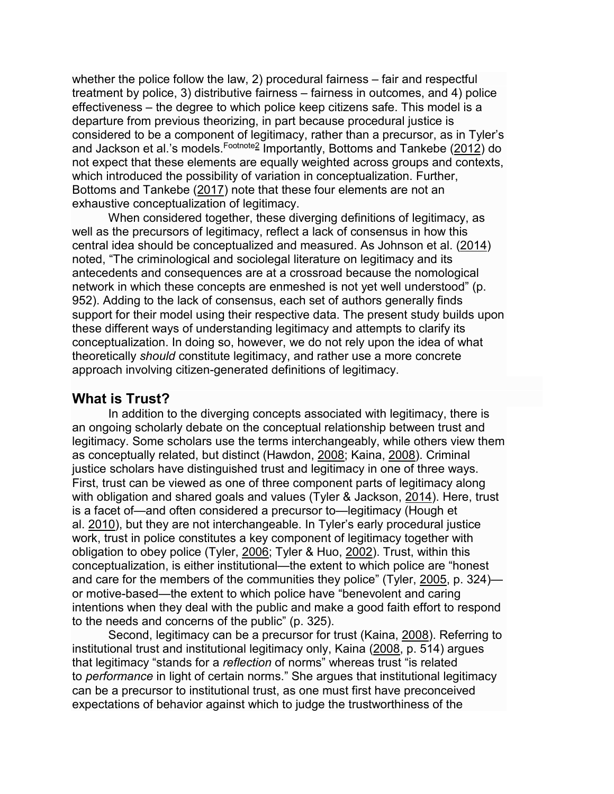whether the police follow the law, 2) procedural fairness – fair and respectful treatment by police, 3) distributive fairness – fairness in outcomes, and 4) police effectiveness – the degree to which police keep citizens safe. This model is a departure from previous theorizing, in part because procedural justice is considered to be a component of legitimacy, rather than a precursor, as in Tyler's and Jackson et al.'s models. Footnote<sup>2</sup> Importantly, Bottoms and Tankebe [\(2012\)](https://link.springer.com/article/10.1007/s12103-019-09501-8#ref-CR5) do not expect that these elements are equally weighted across groups and contexts, which introduced the possibility of variation in conceptualization. Further, Bottoms and Tankebe ([2017\)](https://link.springer.com/article/10.1007/s12103-019-09501-8#ref-CR6) note that these four elements are not an exhaustive conceptualization of legitimacy.

When considered together, these diverging definitions of legitimacy, as well as the precursors of legitimacy, reflect a lack of consensus in how this central idea should be conceptualized and measured. As Johnson et al. [\(2014\)](https://link.springer.com/article/10.1007/s12103-019-09501-8#ref-CR29) noted, "The criminological and sociolegal literature on legitimacy and its antecedents and consequences are at a crossroad because the nomological network in which these concepts are enmeshed is not yet well understood" (p. 952). Adding to the lack of consensus, each set of authors generally finds support for their model using their respective data. The present study builds upon these different ways of understanding legitimacy and attempts to clarify its conceptualization. In doing so, however, we do not rely upon the idea of what theoretically *should* constitute legitimacy, and rather use a more concrete approach involving citizen-generated definitions of legitimacy.

#### **What is Trust?**

In addition to the diverging concepts associated with legitimacy, there is an ongoing scholarly debate on the conceptual relationship between trust and legitimacy. Some scholars use the terms interchangeably, while others view them as conceptually related, but distinct (Hawdon, [2008;](https://link.springer.com/article/10.1007/s12103-019-09501-8#ref-CR19) Kaina, [2008\)](https://link.springer.com/article/10.1007/s12103-019-09501-8#ref-CR33). Criminal justice scholars have distinguished trust and legitimacy in one of three ways. First, trust can be viewed as one of three component parts of legitimacy along with obligation and shared goals and values (Tyler & Jackson, [2014\)](https://link.springer.com/article/10.1007/s12103-019-09501-8#ref-CR81). Here, trust is a facet of—and often considered a precursor to—legitimacy (Hough et al. [2010\)](https://link.springer.com/article/10.1007/s12103-019-09501-8#ref-CR22), but they are not interchangeable. In Tyler's early procedural justice work, trust in police constitutes a key component of legitimacy together with obligation to obey police (Tyler, [2006;](https://link.springer.com/article/10.1007/s12103-019-09501-8#ref-CR76) Tyler & Huo, [2002\)](https://link.springer.com/article/10.1007/s12103-019-09501-8#ref-CR80). Trust, within this conceptualization, is either institutional—the extent to which police are "honest and care for the members of the communities they police" (Tyler, [2005,](https://link.springer.com/article/10.1007/s12103-019-09501-8#ref-CR75) p. 324) or motive-based—the extent to which police have "benevolent and caring intentions when they deal with the public and make a good faith effort to respond to the needs and concerns of the public" (p. 325).

Second, legitimacy can be a precursor for trust (Kaina, [2008\)](https://link.springer.com/article/10.1007/s12103-019-09501-8#ref-CR33). Referring to institutional trust and institutional legitimacy only, Kaina ([2008,](https://link.springer.com/article/10.1007/s12103-019-09501-8#ref-CR33) p. 514) argues that legitimacy "stands for a *reflection* of norms" whereas trust "is related to *performance* in light of certain norms." She argues that institutional legitimacy can be a precursor to institutional trust, as one must first have preconceived expectations of behavior against which to judge the trustworthiness of the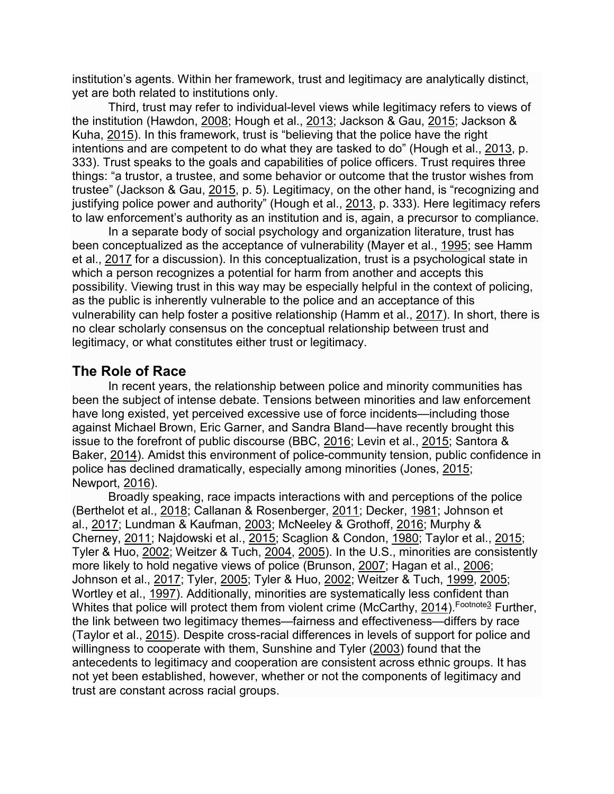institution's agents. Within her framework, trust and legitimacy are analytically distinct, yet are both related to institutions only.

Third, trust may refer to individual-level views while legitimacy refers to views of the institution (Hawdon, [2008;](https://link.springer.com/article/10.1007/s12103-019-09501-8#ref-CR19) Hough et al., [2013;](https://link.springer.com/article/10.1007/s12103-019-09501-8#ref-CR21) Jackson & Gau, [2015;](https://link.springer.com/article/10.1007/s12103-019-09501-8#ref-CR25) Jackson & Kuha, [2015\)](https://link.springer.com/article/10.1007/s12103-019-09501-8#ref-CR27). In this framework, trust is "believing that the police have the right intentions and are competent to do what they are tasked to do" (Hough et al., [2013](https://link.springer.com/article/10.1007/s12103-019-09501-8#ref-CR21), p. 333). Trust speaks to the goals and capabilities of police officers. Trust requires three things: "a trustor, a trustee, and some behavior or outcome that the trustor wishes from trustee" (Jackson & Gau, [2015,](https://link.springer.com/article/10.1007/s12103-019-09501-8#ref-CR25) p. 5). Legitimacy, on the other hand, is "recognizing and justifying police power and authority" (Hough et al., [2013,](https://link.springer.com/article/10.1007/s12103-019-09501-8#ref-CR21) p. 333). Here legitimacy refers to law enforcement's authority as an institution and is, again, a precursor to compliance.

In a separate body of social psychology and organization literature, trust has been conceptualized as the acceptance of vulnerability (Mayer et al., [1995;](https://link.springer.com/article/10.1007/s12103-019-09501-8#ref-CR45) see Hamm et al., [2017](https://link.springer.com/article/10.1007/s12103-019-09501-8#ref-CR18) for a discussion). In this conceptualization, trust is a psychological state in which a person recognizes a potential for harm from another and accepts this possibility. Viewing trust in this way may be especially helpful in the context of policing, as the public is inherently vulnerable to the police and an acceptance of this vulnerability can help foster a positive relationship (Hamm et al., [2017\)](https://link.springer.com/article/10.1007/s12103-019-09501-8#ref-CR18). In short, there is no clear scholarly consensus on the conceptual relationship between trust and legitimacy, or what constitutes either trust or legitimacy.

## **The Role of Race**

In recent years, the relationship between police and minority communities has been the subject of intense debate. Tensions between minorities and law enforcement have long existed, yet perceived excessive use of force incidents—including those against Michael Brown, Eric Garner, and Sandra Bland—have recently brought this issue to the forefront of public discourse (BBC, [2016;](https://link.springer.com/article/10.1007/s12103-019-09501-8#ref-CR2) Levin et al., [2015;](https://link.springer.com/article/10.1007/s12103-019-09501-8#ref-CR38) Santora & Baker, [2014\)](https://link.springer.com/article/10.1007/s12103-019-09501-8#ref-CR59). Amidst this environment of police-community tension, public confidence in police has declined dramatically, especially among minorities (Jones, [2015;](https://link.springer.com/article/10.1007/s12103-019-09501-8#ref-CR32) Newport, [2016\)](https://link.springer.com/article/10.1007/s12103-019-09501-8#ref-CR53).

Broadly speaking, race impacts interactions with and perceptions of the police (Berthelot et al., [2018;](https://link.springer.com/article/10.1007/s12103-019-09501-8#ref-CR4) Callanan & Rosenberger, [2011;](https://link.springer.com/article/10.1007/s12103-019-09501-8#ref-CR9) Decker, [1981;](https://link.springer.com/article/10.1007/s12103-019-09501-8#ref-CR13) Johnson et al., [2017;](https://link.springer.com/article/10.1007/s12103-019-09501-8#ref-CR30) Lundman & Kaufman, [2003;](https://link.springer.com/article/10.1007/s12103-019-09501-8#ref-CR41) McNeeley & Grothoff, [2016;](https://link.springer.com/article/10.1007/s12103-019-09501-8#ref-CR48) Murphy & Cherney, [2011;](https://link.springer.com/article/10.1007/s12103-019-09501-8#ref-CR49) Najdowski et al., [2015;](https://link.springer.com/article/10.1007/s12103-019-09501-8#ref-CR52) Scaglion & Condon, [1980;](https://link.springer.com/article/10.1007/s12103-019-09501-8#ref-CR61) Taylor et al., [2015;](https://link.springer.com/article/10.1007/s12103-019-09501-8#ref-CR68) Tyler & Huo, [2002;](https://link.springer.com/article/10.1007/s12103-019-09501-8#ref-CR80) Weitzer & Tuch, [2004](https://link.springer.com/article/10.1007/s12103-019-09501-8#ref-CR87), [2005\)](https://link.springer.com/article/10.1007/s12103-019-09501-8#ref-CR88). In the U.S., minorities are consistently more likely to hold negative views of police (Brunson, [2007;](https://link.springer.com/article/10.1007/s12103-019-09501-8#ref-CR8) Hagan et al., [2006;](https://link.springer.com/article/10.1007/s12103-019-09501-8#ref-CR17) Johnson et al., [2017;](https://link.springer.com/article/10.1007/s12103-019-09501-8#ref-CR30) Tyler, [2005;](https://link.springer.com/article/10.1007/s12103-019-09501-8#ref-CR75) Tyler & Huo, [2002;](https://link.springer.com/article/10.1007/s12103-019-09501-8#ref-CR80) Weitzer & Tuch, [1999](https://link.springer.com/article/10.1007/s12103-019-09501-8#ref-CR86), [2005;](https://link.springer.com/article/10.1007/s12103-019-09501-8#ref-CR88) Wortley et al., [1997\)](https://link.springer.com/article/10.1007/s12103-019-09501-8#ref-CR91). Additionally, minorities are systematically less confident than Whites that police will protect them from violent crime (McCarthy, [2014\)](https://link.springer.com/article/10.1007/s12103-019-09501-8#ref-CR47). Footnote<sup>3</sup> Further, the link between two legitimacy themes—fairness and effectiveness—differs by race (Taylor et al., [2015\)](https://link.springer.com/article/10.1007/s12103-019-09501-8#ref-CR68). Despite cross-racial differences in levels of support for police and willingness to cooperate with them, Sunshine and Tyler ([2003\)](https://link.springer.com/article/10.1007/s12103-019-09501-8#ref-CR64) found that the antecedents to legitimacy and cooperation are consistent across ethnic groups. It has not yet been established, however, whether or not the components of legitimacy and trust are constant across racial groups.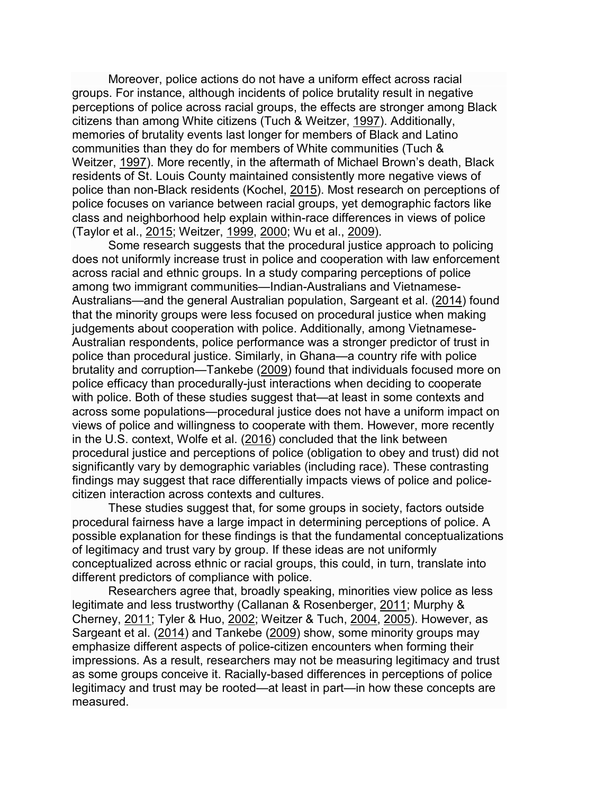Moreover, police actions do not have a uniform effect across racial groups. For instance, although incidents of police brutality result in negative perceptions of police across racial groups, the effects are stronger among Black citizens than among White citizens (Tuch & Weitzer, [1997\)](https://link.springer.com/article/10.1007/s12103-019-09501-8#ref-CR72). Additionally, memories of brutality events last longer for members of Black and Latino communities than they do for members of White communities (Tuch & Weitzer, [1997\)](https://link.springer.com/article/10.1007/s12103-019-09501-8#ref-CR72). More recently, in the aftermath of Michael Brown's death, Black residents of St. Louis County maintained consistently more negative views of police than non-Black residents (Kochel, [2015\)](https://link.springer.com/article/10.1007/s12103-019-09501-8#ref-CR35). Most research on perceptions of police focuses on variance between racial groups, yet demographic factors like class and neighborhood help explain within-race differences in views of police (Taylor et al., [2015;](https://link.springer.com/article/10.1007/s12103-019-09501-8#ref-CR68) Weitzer, [1999](https://link.springer.com/article/10.1007/s12103-019-09501-8#ref-CR84), [2000;](https://link.springer.com/article/10.1007/s12103-019-09501-8#ref-CR85) Wu et al., [2009\)](https://link.springer.com/article/10.1007/s12103-019-09501-8#ref-CR92).

Some research suggests that the procedural justice approach to policing does not uniformly increase trust in police and cooperation with law enforcement across racial and ethnic groups. In a study comparing perceptions of police among two immigrant communities—Indian-Australians and Vietnamese-Australians—and the general Australian population, Sargeant et al. ([2014\)](https://link.springer.com/article/10.1007/s12103-019-09501-8#ref-CR60) found that the minority groups were less focused on procedural justice when making judgements about cooperation with police. Additionally, among Vietnamese-Australian respondents, police performance was a stronger predictor of trust in police than procedural justice. Similarly, in Ghana—a country rife with police brutality and corruption—Tankebe ([2009\)](https://link.springer.com/article/10.1007/s12103-019-09501-8#ref-CR65) found that individuals focused more on police efficacy than procedurally-just interactions when deciding to cooperate with police. Both of these studies suggest that—at least in some contexts and across some populations—procedural justice does not have a uniform impact on views of police and willingness to cooperate with them. However, more recently in the U.S. context, Wolfe et al. [\(2016\)](https://link.springer.com/article/10.1007/s12103-019-09501-8#ref-CR90) concluded that the link between procedural justice and perceptions of police (obligation to obey and trust) did not significantly vary by demographic variables (including race). These contrasting findings may suggest that race differentially impacts views of police and policecitizen interaction across contexts and cultures.

These studies suggest that, for some groups in society, factors outside procedural fairness have a large impact in determining perceptions of police. A possible explanation for these findings is that the fundamental conceptualizations of legitimacy and trust vary by group. If these ideas are not uniformly conceptualized across ethnic or racial groups, this could, in turn, translate into different predictors of compliance with police.

Researchers agree that, broadly speaking, minorities view police as less legitimate and less trustworthy (Callanan & Rosenberger, [2011;](https://link.springer.com/article/10.1007/s12103-019-09501-8#ref-CR9) Murphy & Cherney, [2011;](https://link.springer.com/article/10.1007/s12103-019-09501-8#ref-CR49) Tyler & Huo, [2002;](https://link.springer.com/article/10.1007/s12103-019-09501-8#ref-CR80) Weitzer & Tuch, [2004](https://link.springer.com/article/10.1007/s12103-019-09501-8#ref-CR87), [2005\)](https://link.springer.com/article/10.1007/s12103-019-09501-8#ref-CR88). However, as Sargeant et al. ([2014\)](https://link.springer.com/article/10.1007/s12103-019-09501-8#ref-CR60) and Tankebe [\(2009\)](https://link.springer.com/article/10.1007/s12103-019-09501-8#ref-CR65) show, some minority groups may emphasize different aspects of police-citizen encounters when forming their impressions. As a result, researchers may not be measuring legitimacy and trust as some groups conceive it. Racially-based differences in perceptions of police legitimacy and trust may be rooted—at least in part—in how these concepts are measured.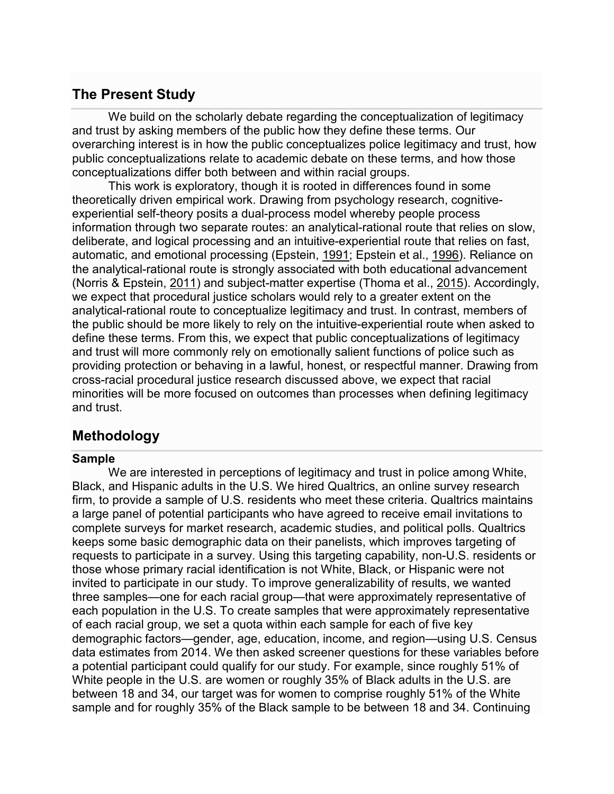## **The Present Study**

We build on the scholarly debate regarding the conceptualization of legitimacy and trust by asking members of the public how they define these terms. Our overarching interest is in how the public conceptualizes police legitimacy and trust, how public conceptualizations relate to academic debate on these terms, and how those conceptualizations differ both between and within racial groups.

This work is exploratory, though it is rooted in differences found in some theoretically driven empirical work. Drawing from psychology research, cognitiveexperiential self-theory posits a dual-process model whereby people process information through two separate routes: an analytical-rational route that relies on slow, deliberate, and logical processing and an intuitive-experiential route that relies on fast, automatic, and emotional processing (Epstein, [1991;](https://link.springer.com/article/10.1007/s12103-019-09501-8#ref-CR14) Epstein et al., [1996\)](https://link.springer.com/article/10.1007/s12103-019-09501-8#ref-CR15). Reliance on the analytical-rational route is strongly associated with both educational advancement (Norris & Epstein, [2011\)](https://link.springer.com/article/10.1007/s12103-019-09501-8#ref-CR54) and subject-matter expertise (Thoma et al., [2015\)](https://link.springer.com/article/10.1007/s12103-019-09501-8#ref-CR70). Accordingly, we expect that procedural justice scholars would rely to a greater extent on the analytical-rational route to conceptualize legitimacy and trust. In contrast, members of the public should be more likely to rely on the intuitive-experiential route when asked to define these terms. From this, we expect that public conceptualizations of legitimacy and trust will more commonly rely on emotionally salient functions of police such as providing protection or behaving in a lawful, honest, or respectful manner. Drawing from cross-racial procedural justice research discussed above, we expect that racial minorities will be more focused on outcomes than processes when defining legitimacy and trust.

## **Methodology**

#### **Sample**

We are interested in perceptions of legitimacy and trust in police among White, Black, and Hispanic adults in the U.S. We hired Qualtrics, an online survey research firm, to provide a sample of U.S. residents who meet these criteria. Qualtrics maintains a large panel of potential participants who have agreed to receive email invitations to complete surveys for market research, academic studies, and political polls. Qualtrics keeps some basic demographic data on their panelists, which improves targeting of requests to participate in a survey. Using this targeting capability, non-U.S. residents or those whose primary racial identification is not White, Black, or Hispanic were not invited to participate in our study. To improve generalizability of results, we wanted three samples—one for each racial group—that were approximately representative of each population in the U.S. To create samples that were approximately representative of each racial group, we set a quota within each sample for each of five key demographic factors—gender, age, education, income, and region—using U.S. Census data estimates from 2014. We then asked screener questions for these variables before a potential participant could qualify for our study. For example, since roughly 51% of White people in the U.S. are women or roughly 35% of Black adults in the U.S. are between 18 and 34, our target was for women to comprise roughly 51% of the White sample and for roughly 35% of the Black sample to be between 18 and 34. Continuing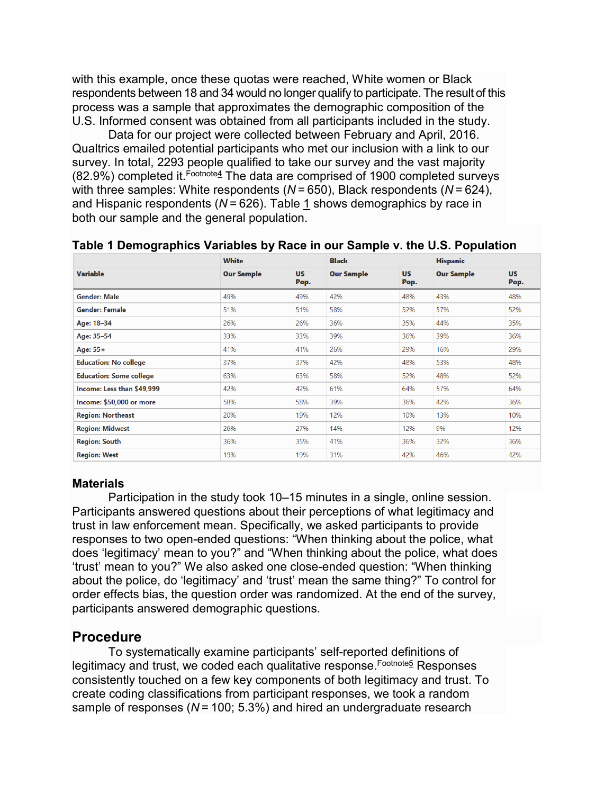with this example, once these quotas were reached, White women or Black respondents between 18 and 34 would no longer qualify to participate. The result of this process was a sample that approximates the demographic composition of the U.S. Informed consent was obtained from all participants included in the study.

Data for our project were collected between February and April, 2016. Qualtrics emailed potential participants who met our inclusion with a link to our survey. In total, 2293 people qualified to take our survey and the vast majority  $(82.9\%)$  completed it. Foothote<sup>4</sup> The data are comprised of 1900 completed surveys with three samples: White respondents (*N* = 650), Black respondents (*N* = 624), and Hispanic respondents (*N* = 626). Table [1](https://link.springer.com/article/10.1007/s12103-019-09501-8#Tab1) shows demographics by race in both our sample and the general population.

|                                | <b>White</b>      |                   | <b>Black</b>      |                   | <b>Hispanic</b>   |                   |  |
|--------------------------------|-------------------|-------------------|-------------------|-------------------|-------------------|-------------------|--|
| <b>Variable</b>                | <b>Our Sample</b> | <b>US</b><br>Pop. | <b>Our Sample</b> | <b>US</b><br>Pop. | <b>Our Sample</b> | <b>US</b><br>Pop. |  |
| <b>Gender: Male</b>            | 49%               | 49%               | 42%               | 48%               | 43%               | 48%               |  |
| <b>Gender: Female</b>          | 51%               | 51%               | 58%               | 52%               | 57%               | 52%               |  |
| Age: 18-34                     | 26%               | 26%               | 36%               | 35%               | 44%               | 35%               |  |
| Age: 35-54                     | 33%               | 33%               | 39%               | 36%               | 39%               | 36%               |  |
| Age: 55+                       | 41%               | 41%               | 26%               | 29%               | 16%               | 29%               |  |
| <b>Education: No college</b>   | 37%               | 37%               | 42%               | 48%               | 53%               | 48%               |  |
| <b>Education: Some college</b> | 63%               | 63%               | 58%               | 52%               | 48%               | 52%               |  |
| Income: Less than \$49.999     | 42%               | 42%               | 61%               | 64%               | 57%               | 64%               |  |
| Income: \$50,000 or more       | 58%               | 58%               | 39%               | 36%               | 42%               | 36%               |  |
| <b>Region: Northeast</b>       | 20%               | 19%               | 12%               | 10%               | 13%               | 10%               |  |
| <b>Region: Midwest</b>         | 26%               | 27%               | 14%               | 12%               | 9%                | 12%               |  |
| <b>Region: South</b>           | 36%               | 35%               | 41%               | 36%               | 32%               | 36%               |  |
| <b>Region: West</b>            | 19%               | 19%               | 31%               | 42%               | 46%               | 42%               |  |

#### **Table 1 Demographics Variables by Race in our Sample v. the U.S. Population**

#### **Materials**

Participation in the study took 10–15 minutes in a single, online session. Participants answered questions about their perceptions of what legitimacy and trust in law enforcement mean. Specifically, we asked participants to provide responses to two open-ended questions: "When thinking about the police, what does 'legitimacy' mean to you?" and "When thinking about the police, what does 'trust' mean to you?" We also asked one close-ended question: "When thinking about the police, do 'legitimacy' and 'trust' mean the same thing?" To control for order effects bias, the question order was randomized. At the end of the survey, participants answered demographic questions.

#### **Procedure**

To systematically examine participants' self-reported definitions of legitimacy and trust, we coded each qualitative response. Footnotes Responses consistently touched on a few key components of both legitimacy and trust. To create coding classifications from participant responses, we took a random sample of responses (*N* = 100; 5.3%) and hired an undergraduate research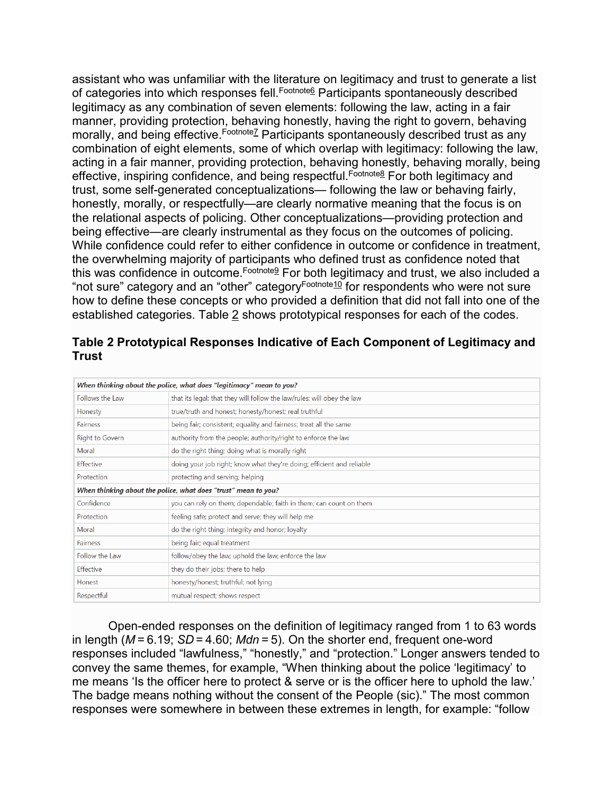assistant who was unfamiliar with the literature on legitimacy and trust to generate a list of categories into which responses fell. Foo[tnote](https://link.springer.com/article/10.1007/s12103-019-09501-8#Fn6)<sup>6</sup> Participants spontaneously described legitimacy as any combination of seven elements: following the law, acting in a fair manner, providing protection, behaving honestly, having the right to govern, behaving morally, and being effective. Footnotez Participants spontaneously described trust as any combination of eight elements, some of which overlap with legitimacy: following the law, acting in a fair manner, providing protection, behaving honestly, behaving morally, being effective, inspiring confidence, and being respectful. Foothote8 For both legitimacy and trust, some self-generated conceptualizations— following the law or behaving fairly, honestly, morally, or respectfully—are clearly normative meaning that the focus is on the relational aspects of policing. Other conceptualizations—providing protection and being effective—are clearly instrumental as they focus on the outcomes of policing. While confidence could refer to either confidence in outcome or confidence in treatment, the overwhelming majority of participants who defined trust as confidence noted that this was confidence in outcome. [Footnote](https://link.springer.com/article/10.1007/s12103-019-09501-8#Fn9)<sup>9</sup> For both legitimacy and trust, we also included a "not sure" category and an "other" category[Footnote10](https://link.springer.com/article/10.1007/s12103-019-09501-8#Fn10) for respondents who were not sure how to define these concepts or who provided a definition that did not fall into one of the established categories. Table [2](https://link.springer.com/article/10.1007/s12103-019-09501-8#Tab2) shows prototypical responses for each of the codes.

|                                                                | When thinking about the police, what does "legitimacy" mean to you?    |  |  |  |  |  |  |
|----------------------------------------------------------------|------------------------------------------------------------------------|--|--|--|--|--|--|
| Follows the Law                                                | that its legal; that they will follow the law/rules; will obey the law |  |  |  |  |  |  |
| Honesty                                                        | true/truth and honest; honesty/honest; real truthful                   |  |  |  |  |  |  |
| <b>Fairness</b>                                                | being fair; consistent; equality and fairness; treat all the same      |  |  |  |  |  |  |
| Right to Govern                                                | authority from the people; authority/right to enforce the law          |  |  |  |  |  |  |
| Moral                                                          | do the right thing; doing what is morally right                        |  |  |  |  |  |  |
| Effective                                                      | doing your job right; know what they're doing; efficient and reliable  |  |  |  |  |  |  |
| Protection                                                     | protecting and serving; helping                                        |  |  |  |  |  |  |
| When thinking about the police, what does "trust" mean to you? |                                                                        |  |  |  |  |  |  |
| Confidence                                                     | you can rely on them; dependable; faith in them; can count on them     |  |  |  |  |  |  |
| Protection                                                     | feeling safe; protect and serve; they will help me                     |  |  |  |  |  |  |
| Moral                                                          | do the right thing; integrity and honor; loyalty                       |  |  |  |  |  |  |
| <b>Fairness</b>                                                | being fair; equal treatment                                            |  |  |  |  |  |  |
| Follow the Law                                                 | follow/obey the law; uphold the law; enforce the law                   |  |  |  |  |  |  |
| Effective                                                      | they do their jobs; there to help                                      |  |  |  |  |  |  |
| Honest                                                         | honesty/honest; truthful; not lying                                    |  |  |  |  |  |  |
| Respectful                                                     | mutual respect; shows respect                                          |  |  |  |  |  |  |

**Table 2 Prototypical Responses Indicative of Each Component of Legitimacy and Trust**

Open-ended responses on the definition of legitimacy ranged from 1 to 63 words in length (*M* = 6.19; *SD* = 4.60; *Mdn* = 5). On the shorter end, frequent one-word responses included "lawfulness," "honestly," and "protection." Longer answers tended to convey the same themes, for example, "When thinking about the police 'legitimacy' to me means 'Is the officer here to protect & serve or is the officer here to uphold the law.' The badge means nothing without the consent of the People (sic)." The most common responses were somewhere in between these extremes in length, for example: "follow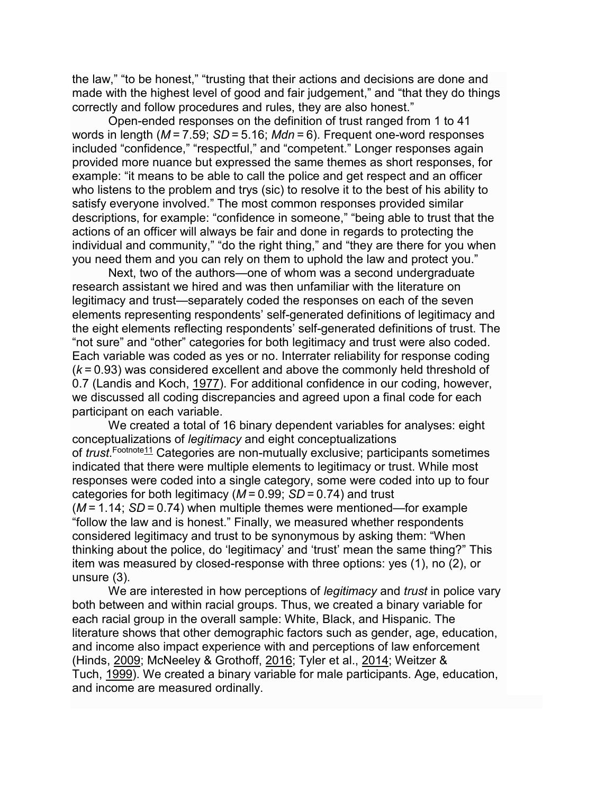the law," "to be honest," "trusting that their actions and decisions are done and made with the highest level of good and fair judgement," and "that they do things correctly and follow procedures and rules, they are also honest."

Open-ended responses on the definition of trust ranged from 1 to 41 words in length (*M* = 7.59; *SD* = 5.16; *Mdn* = 6). Frequent one-word responses included "confidence," "respectful," and "competent." Longer responses again provided more nuance but expressed the same themes as short responses, for example: "it means to be able to call the police and get respect and an officer who listens to the problem and trys (sic) to resolve it to the best of his ability to satisfy everyone involved." The most common responses provided similar descriptions, for example: "confidence in someone," "being able to trust that the actions of an officer will always be fair and done in regards to protecting the individual and community," "do the right thing," and "they are there for you when you need them and you can rely on them to uphold the law and protect you."

Next, two of the authors—one of whom was a second undergraduate research assistant we hired and was then unfamiliar with the literature on legitimacy and trust—separately coded the responses on each of the seven elements representing respondents' self-generated definitions of legitimacy and the eight elements reflecting respondents' self-generated definitions of trust. The "not sure" and "other" categories for both legitimacy and trust were also coded. Each variable was coded as yes or no. Interrater reliability for response coding (*k* = 0.93) was considered excellent and above the commonly held threshold of 0.7 (Landis and Koch, [1977\)](https://link.springer.com/article/10.1007/s12103-019-09501-8#ref-CR37). For additional confidence in our coding, however, we discussed all coding discrepancies and agreed upon a final code for each participant on each variable.

We created a total of 16 binary dependent variables for analyses: eight conceptualizations of *legitimacy* and eight conceptualizations of *trust.<sup>Footnote<u>11</u>* Categories are non-mutually exclusive; participants sometimes</sup> indicated that there were multiple elements to legitimacy or trust. While most responses were coded into a single category, some were coded into up to four categories for both legitimacy (*M* = 0.99; *SD* = 0.74) and trust (*M* = 1.14; *SD* = 0.74) when multiple themes were mentioned—for example "follow the law and is honest." Finally, we measured whether respondents considered legitimacy and trust to be synonymous by asking them: "When thinking about the police, do 'legitimacy' and 'trust' mean the same thing?" This item was measured by closed-response with three options: yes (1), no (2), or unsure (3).

We are interested in how perceptions of *legitimacy* and *trust* in police vary both between and within racial groups. Thus, we created a binary variable for each racial group in the overall sample: White, Black, and Hispanic. The literature shows that other demographic factors such as gender, age, education, and income also impact experience with and perceptions of law enforcement (Hinds, [2009;](https://link.springer.com/article/10.1007/s12103-019-09501-8#ref-CR20) McNeeley & Grothoff, [2016;](https://link.springer.com/article/10.1007/s12103-019-09501-8#ref-CR48) Tyler et al., [2014;](https://link.springer.com/article/10.1007/s12103-019-09501-8#ref-CR79) Weitzer & Tuch, [1999\)](https://link.springer.com/article/10.1007/s12103-019-09501-8#ref-CR86). We created a binary variable for male participants. Age, education, and income are measured ordinally.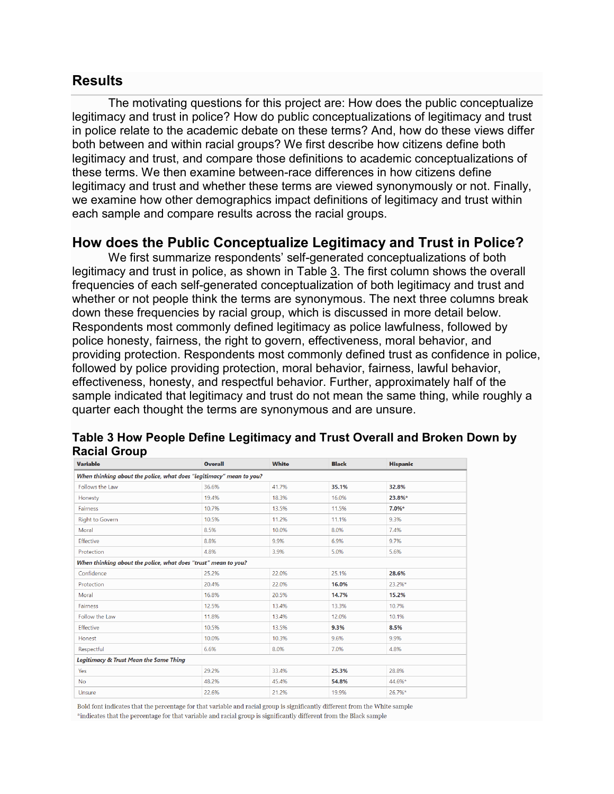#### **Results**

The motivating questions for this project are: How does the public conceptualize legitimacy and trust in police? How do public conceptualizations of legitimacy and trust in police relate to the academic debate on these terms? And, how do these views differ both between and within racial groups? We first describe how citizens define both legitimacy and trust, and compare those definitions to academic conceptualizations of these terms. We then examine between-race differences in how citizens define legitimacy and trust and whether these terms are viewed synonymously or not. Finally, we examine how other demographics impact definitions of legitimacy and trust within each sample and compare results across the racial groups.

#### **How does the Public Conceptualize Legitimacy and Trust in Police?**

We first summarize respondents' self-generated conceptualizations of both legitimacy and trust in police, as shown in Table [3](https://link.springer.com/article/10.1007/s12103-019-09501-8#Tab3). The first column shows the overall frequencies of each self-generated conceptualization of both legitimacy and trust and whether or not people think the terms are synonymous. The next three columns break down these frequencies by racial group, which is discussed in more detail below. Respondents most commonly defined legitimacy as police lawfulness, followed by police honesty, fairness, the right to govern, effectiveness, moral behavior, and providing protection. Respondents most commonly defined trust as confidence in police, followed by police providing protection, moral behavior, fairness, lawful behavior, effectiveness, honesty, and respectful behavior. Further, approximately half of the sample indicated that legitimacy and trust do not mean the same thing, while roughly a quarter each thought the terms are synonymous and are unsure.

| <b>Variable</b>                                                     | <b>Overall</b> | <b>White</b> | <b>Black</b> | <b>Hispanic</b> |  |  |  |  |  |  |
|---------------------------------------------------------------------|----------------|--------------|--------------|-----------------|--|--|--|--|--|--|
| When thinking about the police, what does "legitimacy" mean to you? |                |              |              |                 |  |  |  |  |  |  |
| Follows the Law                                                     | 36.6%          | 41.7%        | 35.1%        | 32.8%           |  |  |  |  |  |  |
| Honesty                                                             | 19.4%          | 18.3%        | 16.0%        | 23.8%*          |  |  |  |  |  |  |
| Fairness                                                            | 10.7%          | 13.5%        | 11.5%        | 7.0%*           |  |  |  |  |  |  |
| <b>Right to Govern</b>                                              | 10.5%          | 11.2%        | 11.1%        | 9.3%            |  |  |  |  |  |  |
| Moral                                                               | 8.5%           | 10.0%        | 8.0%         | 7.4%            |  |  |  |  |  |  |
| Effective                                                           | 8.8%           | 9.9%         | 6.9%         | 9.7%            |  |  |  |  |  |  |
| Protection                                                          | 4.8%           | 3.9%         | 5.0%         | 5.6%            |  |  |  |  |  |  |
| When thinking about the police, what does "trust" mean to you?      |                |              |              |                 |  |  |  |  |  |  |
| Confidence                                                          | 25.2%          | 22.0%        | 25.1%        | 28.6%           |  |  |  |  |  |  |
| Protection                                                          | 20.4%          | 22.0%        | 16.0%        | 23.2%*          |  |  |  |  |  |  |
| Moral                                                               | 16.8%          | 20.5%        | 14.7%        | 15.2%           |  |  |  |  |  |  |
| Fairness                                                            | 12.5%          | 13.4%        | 13.3%        | 10.7%           |  |  |  |  |  |  |
| Follow the Law                                                      | 11.8%          | 13.4%        | 12.0%        | 10.1%           |  |  |  |  |  |  |
| Effective                                                           | 10.5%          | 13.5%        | 9.3%         | 8.5%            |  |  |  |  |  |  |
| Honest                                                              | 10.0%          | 10.3%        | 9.6%         | 9.9%            |  |  |  |  |  |  |
| Respectful                                                          | 6.6%           | 8.0%         | 7.0%         | 4.8%            |  |  |  |  |  |  |
| Legitimacy & Trust Mean the Same Thing                              |                |              |              |                 |  |  |  |  |  |  |
| Yes                                                                 | 29.2%          | 33.4%        | 25.3%        | 28.8%           |  |  |  |  |  |  |
| <b>No</b>                                                           | 48.2%          | 45.4%        | 54.8%        | 44.6%*          |  |  |  |  |  |  |
| Unsure                                                              | 22.6%          | 21.2%        | 19.9%        | 26.7%*          |  |  |  |  |  |  |
|                                                                     |                |              |              |                 |  |  |  |  |  |  |

**Table 3 How People Define Legitimacy and Trust Overall and Broken Down by Racial Group**

Bold font indicates that the percentage for that variable and racial group is significantly different from the White sample \*indicates that the percentage for that variable and racial group is significantly different from the Black sample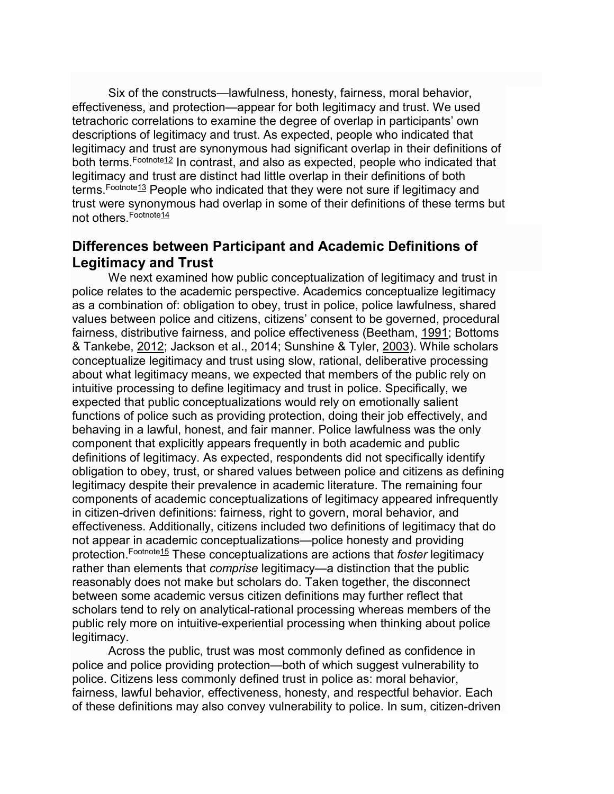Six of the constructs—lawfulness, honesty, fairness, moral behavior, effectiveness, and protection—appear for both legitimacy and trust. We used tetrachoric correlations to examine the degree of overlap in participants' own descriptions of legitimacy and trust. As expected, people who indicated that legitimacy and trust are synonymous had significant overlap in their definitions of both terms. Foothote12 In contrast, and also as expected, people who indicated that legitimacy and trust are distinct had little overlap in their definitions of both terms. [Footnote13](https://link.springer.com/article/10.1007/s12103-019-09501-8#Fn13) People who indicated that they were not sure if legitimacy and trust were synonymous had overlap in some of their definitions of these terms but not others. [Footnote14](https://link.springer.com/article/10.1007/s12103-019-09501-8#Fn14)

## **Differences between Participant and Academic Definitions of Legitimacy and Trust**

We next examined how public conceptualization of legitimacy and trust in police relates to the academic perspective. Academics conceptualize legitimacy as a combination of: obligation to obey, trust in police, police lawfulness, shared values between police and citizens, citizens' consent to be governed, procedural fairness, distributive fairness, and police effectiveness (Beetham, [1991;](https://link.springer.com/article/10.1007/s12103-019-09501-8#ref-CR3) Bottoms & Tankebe, [2012;](https://link.springer.com/article/10.1007/s12103-019-09501-8#ref-CR5) Jackson et al., 2014; Sunshine & Tyler, [2003\)](https://link.springer.com/article/10.1007/s12103-019-09501-8#ref-CR64). While scholars conceptualize legitimacy and trust using slow, rational, deliberative processing about what legitimacy means, we expected that members of the public rely on intuitive processing to define legitimacy and trust in police. Specifically, we expected that public conceptualizations would rely on emotionally salient functions of police such as providing protection, doing their job effectively, and behaving in a lawful, honest, and fair manner. Police lawfulness was the only component that explicitly appears frequently in both academic and public definitions of legitimacy. As expected, respondents did not specifically identify obligation to obey, trust, or shared values between police and citizens as defining legitimacy despite their prevalence in academic literature. The remaining four components of academic conceptualizations of legitimacy appeared infrequently in citizen-driven definitions: fairness, right to govern, moral behavior, and effectiveness. Additionally, citizens included two definitions of legitimacy that do not appear in academic conceptualizations—police honesty and providing protection.[Footnote15](https://link.springer.com/article/10.1007/s12103-019-09501-8#Fn15) These conceptualizations are actions that *foster* legitimacy rather than elements that *comprise* legitimacy—a distinction that the public reasonably does not make but scholars do. Taken together, the disconnect between some academic versus citizen definitions may further reflect that scholars tend to rely on analytical-rational processing whereas members of the public rely more on intuitive-experiential processing when thinking about police legitimacy.

Across the public, trust was most commonly defined as confidence in police and police providing protection—both of which suggest vulnerability to police. Citizens less commonly defined trust in police as: moral behavior, fairness, lawful behavior, effectiveness, honesty, and respectful behavior. Each of these definitions may also convey vulnerability to police. In sum, citizen-driven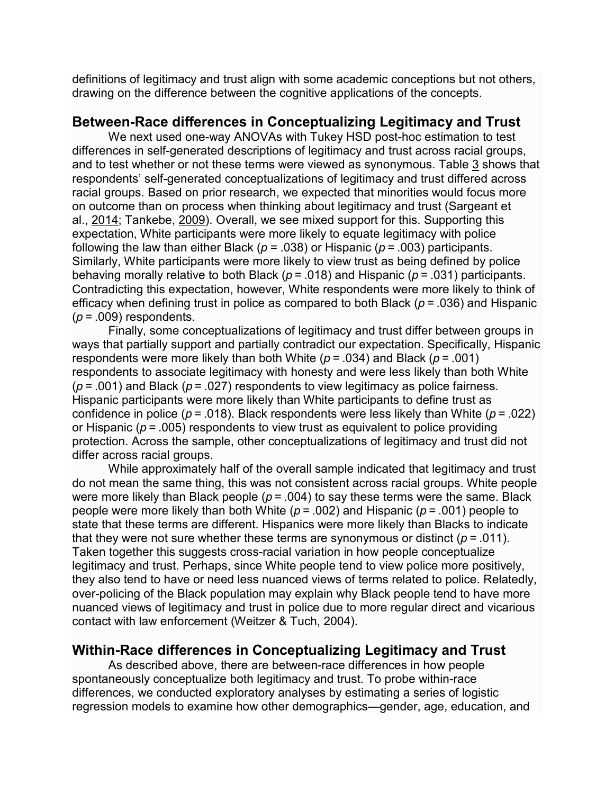definitions of legitimacy and trust align with some academic conceptions but not others, drawing on the difference between the cognitive applications of the concepts.

## **Between-Race differences in Conceptualizing Legitimacy and Trust**

We next used one-way ANOVAs with Tukey HSD post-hoc estimation to test differences in self-generated descriptions of legitimacy and trust across racial groups, and to test whether or not these terms were viewed as synonymous. Table [3](https://link.springer.com/article/10.1007/s12103-019-09501-8#Tab3) shows that respondents' self-generated conceptualizations of legitimacy and trust differed across racial groups. Based on prior research, we expected that minorities would focus more on outcome than on process when thinking about legitimacy and trust (Sargeant et al., [2014;](https://link.springer.com/article/10.1007/s12103-019-09501-8#ref-CR60) Tankebe, [2009\)](https://link.springer.com/article/10.1007/s12103-019-09501-8#ref-CR65). Overall, we see mixed support for this. Supporting this expectation, White participants were more likely to equate legitimacy with police following the law than either Black (*p =* .038) or Hispanic (*p* = .003) participants. Similarly, White participants were more likely to view trust as being defined by police behaving morally relative to both Black (*p* = .018) and Hispanic (*p* = .031) participants. Contradicting this expectation, however, White respondents were more likely to think of efficacy when defining trust in police as compared to both Black (*p* = .036) and Hispanic (*p* = .009) respondents.

Finally, some conceptualizations of legitimacy and trust differ between groups in ways that partially support and partially contradict our expectation. Specifically, Hispanic respondents were more likely than both White (*p* = .034) and Black (*p* = .001) respondents to associate legitimacy with honesty and were less likely than both White (*p* = .001) and Black (*p* = .027) respondents to view legitimacy as police fairness. Hispanic participants were more likely than White participants to define trust as confidence in police (*p* = .018). Black respondents were less likely than White (*p* = .022) or Hispanic (*p* = .005) respondents to view trust as equivalent to police providing protection. Across the sample, other conceptualizations of legitimacy and trust did not differ across racial groups.

While approximately half of the overall sample indicated that legitimacy and trust do not mean the same thing, this was not consistent across racial groups. White people were more likely than Black people ( $p = 0.004$ ) to say these terms were the same. Black people were more likely than both White (*p* = .002) and Hispanic (*p* = .001) people to state that these terms are different. Hispanics were more likely than Blacks to indicate that they were not sure whether these terms are synonymous or distinct (*p* = .011). Taken together this suggests cross-racial variation in how people conceptualize legitimacy and trust. Perhaps, since White people tend to view police more positively, they also tend to have or need less nuanced views of terms related to police. Relatedly, over-policing of the Black population may explain why Black people tend to have more nuanced views of legitimacy and trust in police due to more regular direct and vicarious contact with law enforcement (Weitzer & Tuch, [2004\)](https://link.springer.com/article/10.1007/s12103-019-09501-8#ref-CR87).

## **Within-Race differences in Conceptualizing Legitimacy and Trust**

As described above, there are between-race differences in how people spontaneously conceptualize both legitimacy and trust. To probe within-race differences, we conducted exploratory analyses by estimating a series of logistic regression models to examine how other demographics—gender, age, education, and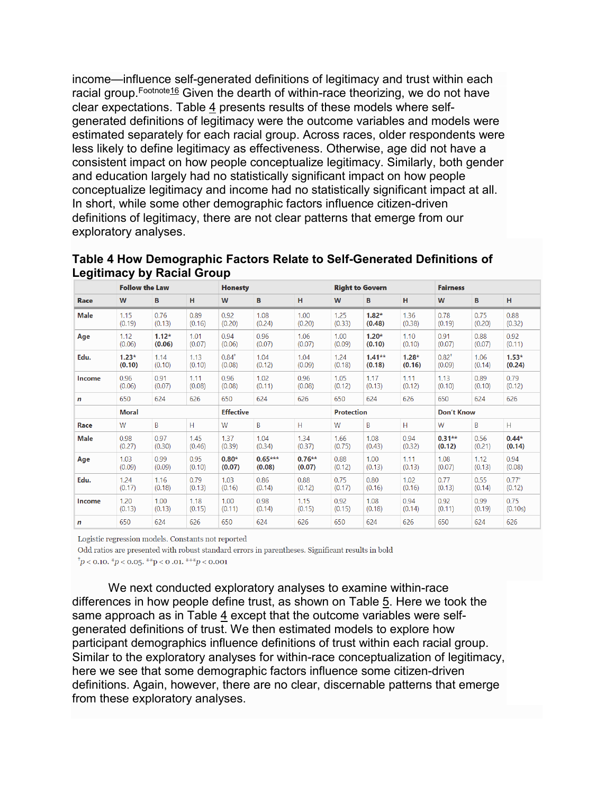income—influence self-generated definitions of legitimacy and trust within each racial group.<sup>[Footnote16](https://link.springer.com/article/10.1007/s12103-019-09501-8#Fn16)</sup> Given the dearth of within-race theorizing, we do not have clear expectations. Table  $\frac{4}{5}$  $\frac{4}{5}$  $\frac{4}{5}$  presents results of these models where selfgenerated definitions of legitimacy were the outcome variables and models were estimated separately for each racial group. Across races, older respondents were less likely to define legitimacy as effectiveness. Otherwise, age did not have a consistent impact on how people conceptualize legitimacy. Similarly, both gender and education largely had no statistically significant impact on how people conceptualize legitimacy and income had no statistically significant impact at all. In short, while some other demographic factors influence citizen-driven definitions of legitimacy, there are not clear patterns that emerge from our exploratory analyses.

| Table 4 How Demographic Factors Relate to Sen-Generated Demintions of<br>Legitimacy by Racial Group |                       |  |                |  |                        |  |                 |  |
|-----------------------------------------------------------------------------------------------------|-----------------------|--|----------------|--|------------------------|--|-----------------|--|
|                                                                                                     | <b>Follow the Law</b> |  | <b>Honesty</b> |  | <b>Right to Govern</b> |  | <b>Fairness</b> |  |
|                                                                                                     |                       |  |                |  |                        |  |                 |  |

**Table 4 How Demographic Factors Relate to Self-Generated Definitions of** 

|                  | <b>Follow the Law</b> |         |        | <b>Honesty</b> |                  |           |        | <b>Right to Govern</b> |         | <b>Fairness</b> |                   |            |  |
|------------------|-----------------------|---------|--------|----------------|------------------|-----------|--------|------------------------|---------|-----------------|-------------------|------------|--|
| <b>Race</b>      | W                     | B       | H.     | W              | B                | H         | W      | B                      | H       | W               | B                 | H          |  |
| <b>Male</b>      | 1.15                  | 0.76    | 0.89   | 0.92           | 1.08             | 1.00      | 1.25   | $1.82*$                | 1.36    | 0.78            | 0.75              | 0.88       |  |
|                  | (0.19)                | (0.13)  | (0.16) | (0.20)         | (0.24)           | (0.20)    | (0.33) | (0.48)                 | (0.38)  | (0.19)          | (0.20)            | (0.32)     |  |
| Age              | 1.12                  | $1.12*$ | 1.01   | 0.94           | 0.96             | 1.06      | 1.00   | $1.20*$                | 1.10    | 0.91            | 0.88              | 0.92       |  |
|                  | (0.06)                | (0.06)  | (0.07) | (0.06)         | (0.07)           | (0.07)    | (0.09) | (0.10)                 | (0.10)  | (0.07)          | (0.07)            | (0.11)     |  |
| Edu.             | $1.23*$               | 1.14    | 1.13   | $0.84^{+}$     | 1.04             | 1.04      | 1.24   | $1.41**$               | $1.28*$ | $0.82^{+}$      | 1.06              | $1.53*$    |  |
|                  | (0.10)                | (0.10)  | (0.10) | (0.08)         | (0.12)           | (0.09)    | (0.18) | (0.18)                 | (0.16)  | (0.09)          | (0.14)            | (0.24)     |  |
| Income           | 0.96                  | 0.91    | 1.11   | 0.96           | 1.02             | 0.96      | 1.05   | 1.17                   | 1.11    | 1.13            | 0.89              | 0.79       |  |
|                  | (0.06)                | (0.07)  | (0.08) | (0.08)         | (0.11)           | (0.08)    | (0.12) | (0.13)                 | (0.12)  | (0.10)          | (0.10)            | (0.12)     |  |
| $\boldsymbol{n}$ | 650                   | 624     | 626    | 650            | 624              | 626       | 650    | 624                    | 626     | 650             | 624               | 626        |  |
|                  | <b>Moral</b>          |         |        |                | <b>Effective</b> |           |        | <b>Protection</b>      |         |                 | <b>Don't Know</b> |            |  |
| Race             | W                     | B       | H      | W              | B                | H         | W      | B                      | H.      | W               | B                 | H.         |  |
| <b>Male</b>      | 0.98                  | 0.97    | 1.45   | 1.37           | 1.04             | 1.34      | 1.66   | 1.08                   | 0.94    | $0.31**$        | 0.56              | $0.44*$    |  |
|                  | (0.27)                | (0.30)  | (0.46) | (0.39)         | (0.34)           | (0.37)    | (0.75) | (0.43)                 | (0.32)  | (0.12)          | (0.21)            | (0.14)     |  |
| Age              | 1.03                  | 0.99    | 0.95   | $0.80*$        | $0.65***$        | $0.76***$ | 0.88   | 1.00                   | 1.11    | 1.08            | 1.12              | 0.94       |  |
|                  | (0.09)                | (0.09)  | (0.10) | (0.07)         | (0.08)           | (0.07)    | (0.12) | (0.13)                 | (0.13)  | (0.07)          | (0.13)            | (0.08)     |  |
| Edu.             | 1.24                  | 1.16    | 0.79   | 1.03           | 0.86             | 0.88      | 0.75   | 0.80                   | 1.02    | 0.77            | 0.55              | $0.77^{+}$ |  |
|                  | (0.17)                | (0.18)  | (0.13) | (0.16)         | (0.14)           | (0.12)    | (0.17) | (0.16)                 | (0.16)  | (0.13)          | (0.14)            | (0.12)     |  |
| Income           | 1.20                  | 1.00    | 1.18   | 1.00           | 0.98             | 1.15      | 0.92   | 1.08                   | 0.94    | 0.92            | 0.99              | 0.75       |  |
|                  | (0.13)                | (0.13)  | (0.15) | (0.11)         | (0.14)           | (0.15)    | (0.15) | (0.18)                 | (0.14)  | (0.11)          | (0.19)            | (0.10s)    |  |
| n                | 650                   | 624     | 626    | 650            | 624              | 626       | 650    | 624                    | 626     | 650             | 624               | 626        |  |

Logistic regression models. Constants not reported

Odd ratios are presented with robust standard errors in parentheses. Significant results in bold

 $p^+p$  < 0.10.  $p^+p$  < 0.05.  $p^+p$  < 0.01.  $p^+p$  < 0.001

We next conducted exploratory analyses to examine within-race differences in how people define trust, as shown on Table [5.](https://link.springer.com/article/10.1007/s12103-019-09501-8#Tab5) Here we took the same approach as in Table [4](https://link.springer.com/article/10.1007/s12103-019-09501-8#Tab4) except that the outcome variables were selfgenerated definitions of trust. We then estimated models to explore how participant demographics influence definitions of trust within each racial group. Similar to the exploratory analyses for within-race conceptualization of legitimacy, here we see that some demographic factors influence some citizen-driven definitions. Again, however, there are no clear, discernable patterns that emerge from these exploratory analyses.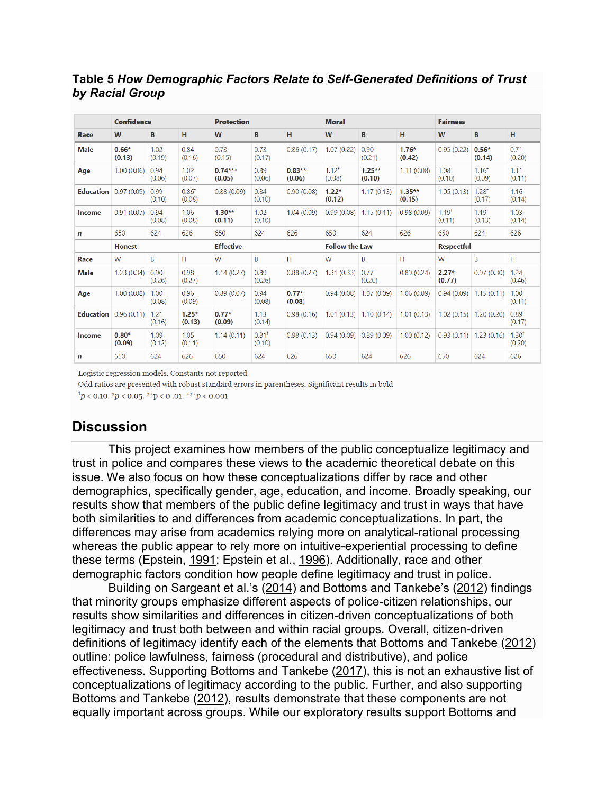#### **Table 5** *How Demographic Factors Relate to Self-Generated Definitions of Trust by Racial Group*

|             | <b>Confidence</b>      |                |                      |                     | <b>Protection</b>             |                    |                      |                            |                    | <b>Fairness</b>      |                          |                      |  |
|-------------|------------------------|----------------|----------------------|---------------------|-------------------------------|--------------------|----------------------|----------------------------|--------------------|----------------------|--------------------------|----------------------|--|
| Race        | W                      | В              | н                    | W                   | B                             | H                  | W                    | B                          | н                  | W                    | В                        | н                    |  |
| <b>Male</b> | $0.66*$<br>(0.13)      | 1.02<br>(0.19) | 0.84<br>(0.16)       | 0.73<br>(0.15)      | 0.73<br>(0.17)                | 0.86(0.17)         | 1.07(0.22)           | 0.90<br>(0.21)             | $1.76*$<br>(0.42)  | 0.95(0.22)           | $0.56*$<br>(0.14)        | 0.71<br>(0.20)       |  |
| Age         | 1.00(0.06)             | 0.94<br>(0.06) | 1.02<br>(0.07)       | $0.74***$<br>(0.05) | 0.89<br>(0.06)                | $0.83**$<br>(0.06) | $1.12^{+}$<br>(0.08) | $1.25**$<br>(0.10)         | 1.11(0.08)         | 1.08<br>(0.10)       | $1.16^{+}$<br>(0.09)     | 1.11<br>(0.11)       |  |
|             | Education $0.97(0.09)$ | 0.99<br>(0.10) | $0.86^{+}$<br>(0.08) | 0.88(0.09)          | 0.84<br>(0.10)                | 0.90(0.08)         | $1.22*$<br>(0.12)    | 1.17(0.13)                 | $1.35**$<br>(0.15) | 1.05(0.13)           | $1.28^{+}$<br>(0.17)     | 1.16<br>(0.14)       |  |
| Income      | 0.91(0.07)             | 0.94<br>(0.08) | 1.06<br>(0.08)       | $1.30**$<br>(0.11)  | 1.02<br>(0.10)                | 1.04(0.09)         |                      | $0.99(0.08)$   1.15 (0.11) | 0.98(0.09)         | $1.19^{+}$<br>(0.11) | $1.19^{+}$<br>(0.13)     | 1.03<br>(0.14)       |  |
| n           | 650                    | 624            | 626                  | 650                 | 624                           | 626                | 650                  | 624                        | 626                | 650                  | 624                      | 626                  |  |
|             | <b>Honest</b>          |                |                      | <b>Effective</b>    |                               |                    |                      | <b>Follow the Law</b>      |                    |                      | <b>Respectful</b>        |                      |  |
| Race        | W                      | B              | H                    | W                   | B                             | Н                  | W                    | B                          | H                  | W                    | B                        | H                    |  |
| <b>Male</b> | 1.23(0.34)             | 0.90<br>(0.26) | 0.98<br>(0.27)       | 1.14(0.27)          | 0.89<br>(0.26)                | 0.88(0.27)         | 1.31(0.33)           | 0.77<br>(0.20)             | 0.89(0.24)         | $2.27*$<br>(0.77)    | 0.97(0.30)               | 1.24<br>(0.46)       |  |
| Age         | 1.00(0.08)             | 1.00<br>(0.08) | 0.96<br>(0.09)       | 0.89(0.07)          | 0.94<br>(0.08)                | $0.77*$<br>(0.08)  |                      | $0.94(0.08)$ 1.07 (0.09)   | 1.06(0.09)         |                      | $0.94(0.09)$ 1.15 (0.11) | 1.00<br>(0.11)       |  |
|             | Education $0.96(0.11)$ | 1.21<br>(0.16) | $1.25*$<br>(0.13)    | $0.77*$<br>(0.09)   | 1.13<br>(0.14)                | 0.98(0.16)         |                      | $1.01(0.13)$ 1.10 (0.14)   | 1.01(0.13)         |                      | $1.02(0.15)$ 1.20 (0.20) | 0.89<br>(0.17)       |  |
| Income      | $0.80*$<br>(0.09)      | 1.09<br>(0.12) | 1.05<br>(0.11)       | 1.14(0.11)          | $0.81$ <sup>+</sup><br>(0.10) | 0.98(0.13)         |                      | $0.94(0.09)$ 0.89 (0.09)   | 1.00(0.12)         |                      | $0.93(0.11)$ 1.23 (0.16) | $1.30^{+}$<br>(0.20) |  |
| n           | 650                    | 624            | 626                  | 650                 | 624                           | 626                | 650                  | 624                        | 626                | 650                  | 624                      | 626                  |  |

Logistic regression models. Constants not reported

Odd ratios are presented with robust standard errors in parentheses. Significant results in bold

 $\phi^{\dagger} p$  < 0.10.  $\phi^* p$  < 0.05.  $\phi^* p$  < 0.01.  $\phi^* p$  < 0.001

## **Discussion**

This project examines how members of the public conceptualize legitimacy and trust in police and compares these views to the academic theoretical debate on this issue. We also focus on how these conceptualizations differ by race and other demographics, specifically gender, age, education, and income. Broadly speaking, our results show that members of the public define legitimacy and trust in ways that have both similarities to and differences from academic conceptualizations. In part, the differences may arise from academics relying more on analytical-rational processing whereas the public appear to rely more on intuitive-experiential processing to define these terms (Epstein, [1991;](https://link.springer.com/article/10.1007/s12103-019-09501-8#ref-CR14) Epstein et al., [1996\)](https://link.springer.com/article/10.1007/s12103-019-09501-8#ref-CR15). Additionally, race and other demographic factors condition how people define legitimacy and trust in police.

Building on Sargeant et al.'s [\(2014\)](https://link.springer.com/article/10.1007/s12103-019-09501-8#ref-CR60) and Bottoms and Tankebe's [\(2012\)](https://link.springer.com/article/10.1007/s12103-019-09501-8#ref-CR5) findings that minority groups emphasize different aspects of police-citizen relationships, our results show similarities and differences in citizen-driven conceptualizations of both legitimacy and trust both between and within racial groups. Overall, citizen-driven definitions of legitimacy identify each of the elements that Bottoms and Tankebe ([2012\)](https://link.springer.com/article/10.1007/s12103-019-09501-8#ref-CR5) outline: police lawfulness, fairness (procedural and distributive), and police effectiveness. Supporting Bottoms and Tankebe ([2017\)](https://link.springer.com/article/10.1007/s12103-019-09501-8#ref-CR6), this is not an exhaustive list of conceptualizations of legitimacy according to the public. Further, and also supporting Bottoms and Tankebe ([2012\)](https://link.springer.com/article/10.1007/s12103-019-09501-8#ref-CR5), results demonstrate that these components are not equally important across groups. While our exploratory results support Bottoms and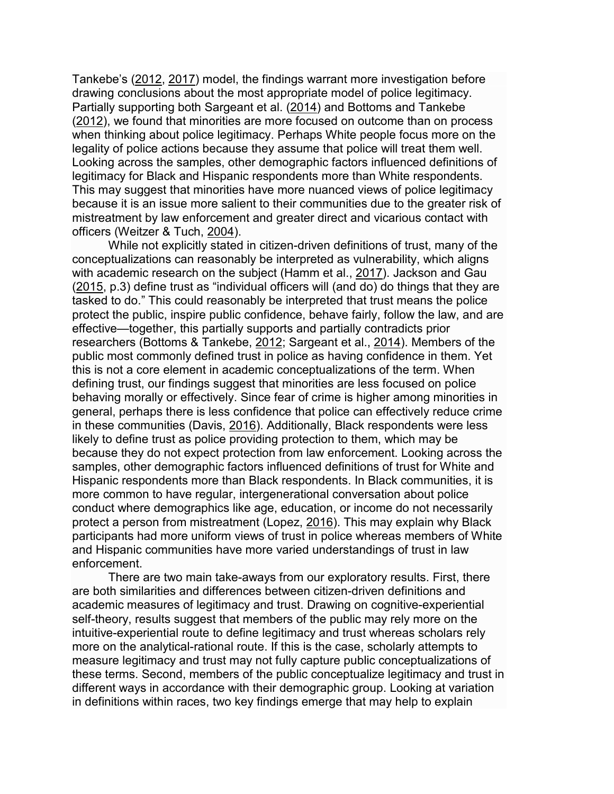Tankebe's [\(2012](https://link.springer.com/article/10.1007/s12103-019-09501-8#ref-CR5), [2017\)](https://link.springer.com/article/10.1007/s12103-019-09501-8#ref-CR6) model, the findings warrant more investigation before drawing conclusions about the most appropriate model of police legitimacy. Partially supporting both Sargeant et al. ([2014\)](https://link.springer.com/article/10.1007/s12103-019-09501-8#ref-CR60) and Bottoms and Tankebe ([2012\)](https://link.springer.com/article/10.1007/s12103-019-09501-8#ref-CR5), we found that minorities are more focused on outcome than on process when thinking about police legitimacy. Perhaps White people focus more on the legality of police actions because they assume that police will treat them well. Looking across the samples, other demographic factors influenced definitions of legitimacy for Black and Hispanic respondents more than White respondents. This may suggest that minorities have more nuanced views of police legitimacy because it is an issue more salient to their communities due to the greater risk of mistreatment by law enforcement and greater direct and vicarious contact with officers (Weitzer & Tuch, [2004\)](https://link.springer.com/article/10.1007/s12103-019-09501-8#ref-CR87).

While not explicitly stated in citizen-driven definitions of trust, many of the conceptualizations can reasonably be interpreted as vulnerability, which aligns with academic research on the subject (Hamm et al., [2017\)](https://link.springer.com/article/10.1007/s12103-019-09501-8#ref-CR18). Jackson and Gau ([2015,](https://link.springer.com/article/10.1007/s12103-019-09501-8#ref-CR25) p.3) define trust as "individual officers will (and do) do things that they are tasked to do." This could reasonably be interpreted that trust means the police protect the public, inspire public confidence, behave fairly, follow the law, and are effective—together, this partially supports and partially contradicts prior researchers (Bottoms & Tankebe, [2012;](https://link.springer.com/article/10.1007/s12103-019-09501-8#ref-CR5) Sargeant et al., [2014\)](https://link.springer.com/article/10.1007/s12103-019-09501-8#ref-CR60). Members of the public most commonly defined trust in police as having confidence in them. Yet this is not a core element in academic conceptualizations of the term. When defining trust, our findings suggest that minorities are less focused on police behaving morally or effectively. Since fear of crime is higher among minorities in general, perhaps there is less confidence that police can effectively reduce crime in these communities (Davis, [2016\)](https://link.springer.com/article/10.1007/s12103-019-09501-8#ref-CR12). Additionally, Black respondents were less likely to define trust as police providing protection to them, which may be because they do not expect protection from law enforcement. Looking across the samples, other demographic factors influenced definitions of trust for White and Hispanic respondents more than Black respondents. In Black communities, it is more common to have regular, intergenerational conversation about police conduct where demographics like age, education, or income do not necessarily protect a person from mistreatment (Lopez, [2016\)](https://link.springer.com/article/10.1007/s12103-019-09501-8#ref-CR40). This may explain why Black participants had more uniform views of trust in police whereas members of White and Hispanic communities have more varied understandings of trust in law enforcement.

There are two main take-aways from our exploratory results. First, there are both similarities and differences between citizen-driven definitions and academic measures of legitimacy and trust. Drawing on cognitive-experiential self-theory, results suggest that members of the public may rely more on the intuitive-experiential route to define legitimacy and trust whereas scholars rely more on the analytical-rational route. If this is the case, scholarly attempts to measure legitimacy and trust may not fully capture public conceptualizations of these terms. Second, members of the public conceptualize legitimacy and trust in different ways in accordance with their demographic group. Looking at variation in definitions within races, two key findings emerge that may help to explain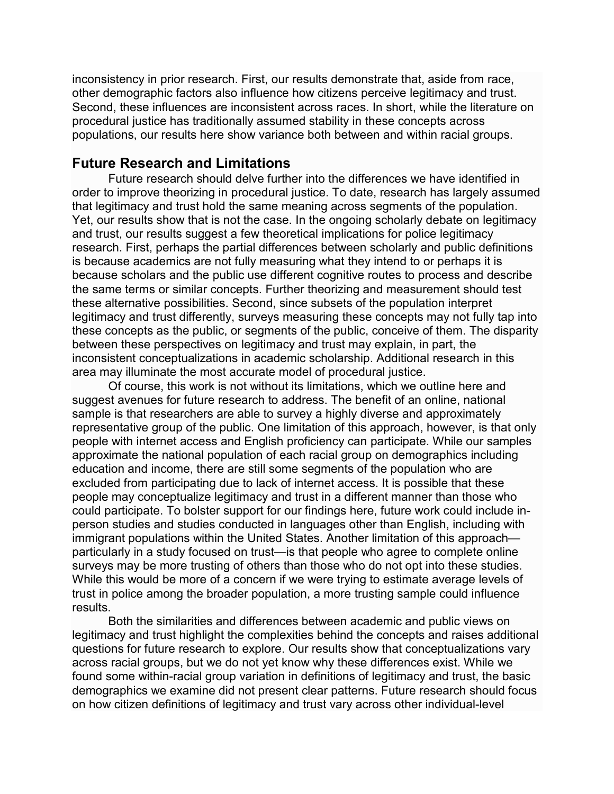inconsistency in prior research. First, our results demonstrate that, aside from race, other demographic factors also influence how citizens perceive legitimacy and trust. Second, these influences are inconsistent across races. In short, while the literature on procedural justice has traditionally assumed stability in these concepts across populations, our results here show variance both between and within racial groups.

#### **Future Research and Limitations**

Future research should delve further into the differences we have identified in order to improve theorizing in procedural justice. To date, research has largely assumed that legitimacy and trust hold the same meaning across segments of the population. Yet, our results show that is not the case. In the ongoing scholarly debate on legitimacy and trust, our results suggest a few theoretical implications for police legitimacy research. First, perhaps the partial differences between scholarly and public definitions is because academics are not fully measuring what they intend to or perhaps it is because scholars and the public use different cognitive routes to process and describe the same terms or similar concepts. Further theorizing and measurement should test these alternative possibilities. Second, since subsets of the population interpret legitimacy and trust differently, surveys measuring these concepts may not fully tap into these concepts as the public, or segments of the public, conceive of them. The disparity between these perspectives on legitimacy and trust may explain, in part, the inconsistent conceptualizations in academic scholarship. Additional research in this area may illuminate the most accurate model of procedural justice.

Of course, this work is not without its limitations, which we outline here and suggest avenues for future research to address. The benefit of an online, national sample is that researchers are able to survey a highly diverse and approximately representative group of the public. One limitation of this approach, however, is that only people with internet access and English proficiency can participate. While our samples approximate the national population of each racial group on demographics including education and income, there are still some segments of the population who are excluded from participating due to lack of internet access. It is possible that these people may conceptualize legitimacy and trust in a different manner than those who could participate. To bolster support for our findings here, future work could include inperson studies and studies conducted in languages other than English, including with immigrant populations within the United States. Another limitation of this approach particularly in a study focused on trust—is that people who agree to complete online surveys may be more trusting of others than those who do not opt into these studies. While this would be more of a concern if we were trying to estimate average levels of trust in police among the broader population, a more trusting sample could influence results.

Both the similarities and differences between academic and public views on legitimacy and trust highlight the complexities behind the concepts and raises additional questions for future research to explore. Our results show that conceptualizations vary across racial groups, but we do not yet know why these differences exist. While we found some within-racial group variation in definitions of legitimacy and trust, the basic demographics we examine did not present clear patterns. Future research should focus on how citizen definitions of legitimacy and trust vary across other individual-level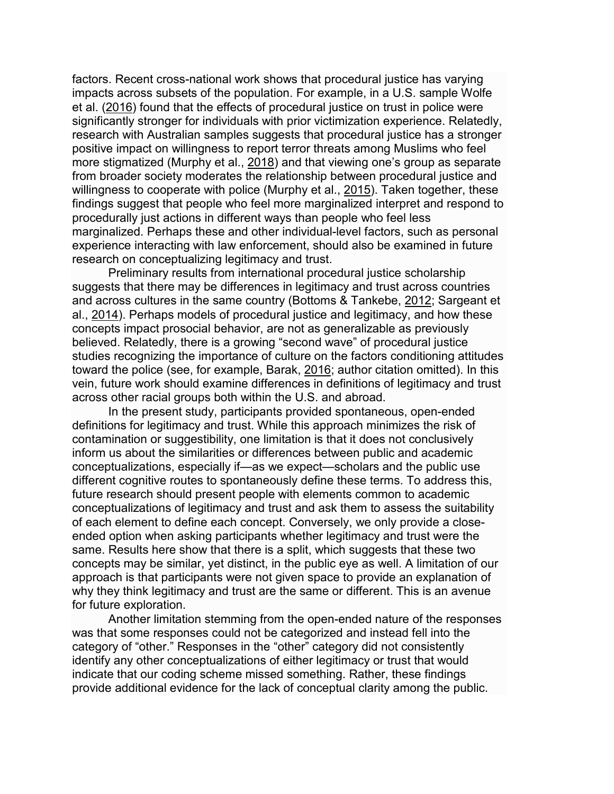factors. Recent cross-national work shows that procedural justice has varying impacts across subsets of the population. For example, in a U.S. sample Wolfe et al. ([2016\)](https://link.springer.com/article/10.1007/s12103-019-09501-8#ref-CR90) found that the effects of procedural justice on trust in police were significantly stronger for individuals with prior victimization experience. Relatedly, research with Australian samples suggests that procedural justice has a stronger positive impact on willingness to report terror threats among Muslims who feel more stigmatized (Murphy et al., [2018\)](https://link.springer.com/article/10.1007/s12103-019-09501-8#ref-CR50) and that viewing one's group as separate from broader society moderates the relationship between procedural justice and willingness to cooperate with police (Murphy et al., [2015\)](https://link.springer.com/article/10.1007/s12103-019-09501-8#ref-CR51). Taken together, these findings suggest that people who feel more marginalized interpret and respond to procedurally just actions in different ways than people who feel less marginalized. Perhaps these and other individual-level factors, such as personal experience interacting with law enforcement, should also be examined in future research on conceptualizing legitimacy and trust.

Preliminary results from international procedural justice scholarship suggests that there may be differences in legitimacy and trust across countries and across cultures in the same country (Bottoms & Tankebe, [2012;](https://link.springer.com/article/10.1007/s12103-019-09501-8#ref-CR5) Sargeant et al., [2014\)](https://link.springer.com/article/10.1007/s12103-019-09501-8#ref-CR60). Perhaps models of procedural justice and legitimacy, and how these concepts impact prosocial behavior, are not as generalizable as previously believed. Relatedly, there is a growing "second wave" of procedural justice studies recognizing the importance of culture on the factors conditioning attitudes toward the police (see, for example, Barak, [2016;](https://link.springer.com/article/10.1007/s12103-019-09501-8#ref-CR1) author citation omitted). In this vein, future work should examine differences in definitions of legitimacy and trust across other racial groups both within the U.S. and abroad.

In the present study, participants provided spontaneous, open-ended definitions for legitimacy and trust. While this approach minimizes the risk of contamination or suggestibility, one limitation is that it does not conclusively inform us about the similarities or differences between public and academic conceptualizations, especially if—as we expect—scholars and the public use different cognitive routes to spontaneously define these terms. To address this, future research should present people with elements common to academic conceptualizations of legitimacy and trust and ask them to assess the suitability of each element to define each concept. Conversely, we only provide a closeended option when asking participants whether legitimacy and trust were the same. Results here show that there is a split, which suggests that these two concepts may be similar, yet distinct, in the public eye as well. A limitation of our approach is that participants were not given space to provide an explanation of why they think legitimacy and trust are the same or different. This is an avenue for future exploration.

Another limitation stemming from the open-ended nature of the responses was that some responses could not be categorized and instead fell into the category of "other." Responses in the "other" category did not consistently identify any other conceptualizations of either legitimacy or trust that would indicate that our coding scheme missed something. Rather, these findings provide additional evidence for the lack of conceptual clarity among the public.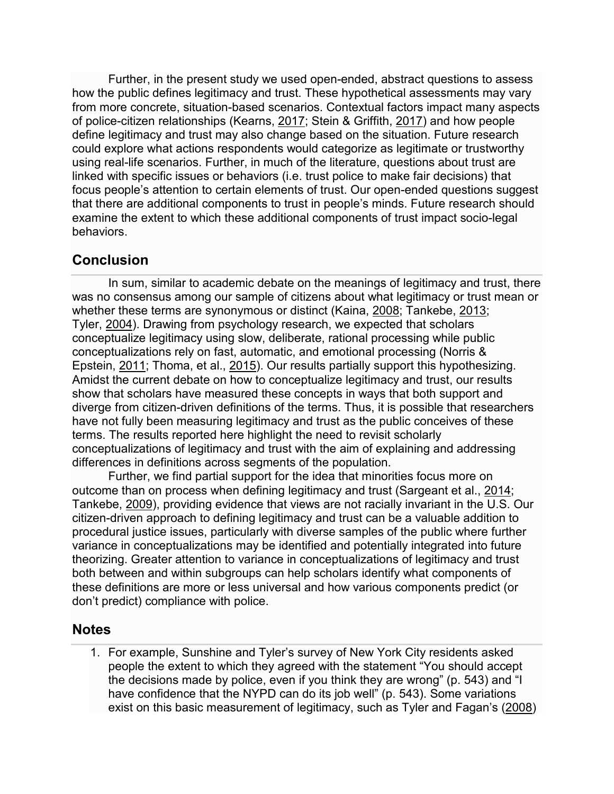Further, in the present study we used open-ended, abstract questions to assess how the public defines legitimacy and trust. These hypothetical assessments may vary from more concrete, situation-based scenarios. Contextual factors impact many aspects of police-citizen relationships (Kearns, [2017;](https://link.springer.com/article/10.1007/s12103-019-09501-8#ref-CR34) Stein & Griffith, [2017\)](https://link.springer.com/article/10.1007/s12103-019-09501-8#ref-CR63) and how people define legitimacy and trust may also change based on the situation. Future research could explore what actions respondents would categorize as legitimate or trustworthy using real-life scenarios. Further, in much of the literature, questions about trust are linked with specific issues or behaviors (i.e. trust police to make fair decisions) that focus people's attention to certain elements of trust. Our open-ended questions suggest that there are additional components to trust in people's minds. Future research should examine the extent to which these additional components of trust impact socio-legal behaviors.

## **Conclusion**

In sum, similar to academic debate on the meanings of legitimacy and trust, there was no consensus among our sample of citizens about what legitimacy or trust mean or whether these terms are synonymous or distinct (Kaina, [2008;](https://link.springer.com/article/10.1007/s12103-019-09501-8#ref-CR33) Tankebe, [2013;](https://link.springer.com/article/10.1007/s12103-019-09501-8#ref-CR66) Tyler, [2004\)](https://link.springer.com/article/10.1007/s12103-019-09501-8#ref-CR74). Drawing from psychology research, we expected that scholars conceptualize legitimacy using slow, deliberate, rational processing while public conceptualizations rely on fast, automatic, and emotional processing (Norris & Epstein, [2011;](https://link.springer.com/article/10.1007/s12103-019-09501-8#ref-CR54) Thoma, et al., [2015\)](https://link.springer.com/article/10.1007/s12103-019-09501-8#ref-CR70). Our results partially support this hypothesizing. Amidst the current debate on how to conceptualize legitimacy and trust, our results show that scholars have measured these concepts in ways that both support and diverge from citizen-driven definitions of the terms. Thus, it is possible that researchers have not fully been measuring legitimacy and trust as the public conceives of these terms. The results reported here highlight the need to revisit scholarly conceptualizations of legitimacy and trust with the aim of explaining and addressing differences in definitions across segments of the population.

Further, we find partial support for the idea that minorities focus more on outcome than on process when defining legitimacy and trust (Sargeant et al., [2014;](https://link.springer.com/article/10.1007/s12103-019-09501-8#ref-CR60) Tankebe, [2009\)](https://link.springer.com/article/10.1007/s12103-019-09501-8#ref-CR65), providing evidence that views are not racially invariant in the U.S. Our citizen-driven approach to defining legitimacy and trust can be a valuable addition to procedural justice issues, particularly with diverse samples of the public where further variance in conceptualizations may be identified and potentially integrated into future theorizing. Greater attention to variance in conceptualizations of legitimacy and trust both between and within subgroups can help scholars identify what components of these definitions are more or less universal and how various components predict (or don't predict) compliance with police.

## **Notes**

1. For example, Sunshine and Tyler's survey of New York City residents asked people the extent to which they agreed with the statement "You should accept the decisions made by police, even if you think they are wrong" (p. 543) and "I have confidence that the NYPD can do its job well" (p. 543). Some variations exist on this basic measurement of legitimacy, such as Tyler and Fagan's [\(2008\)](https://link.springer.com/article/10.1007/s12103-019-09501-8#ref-CR78)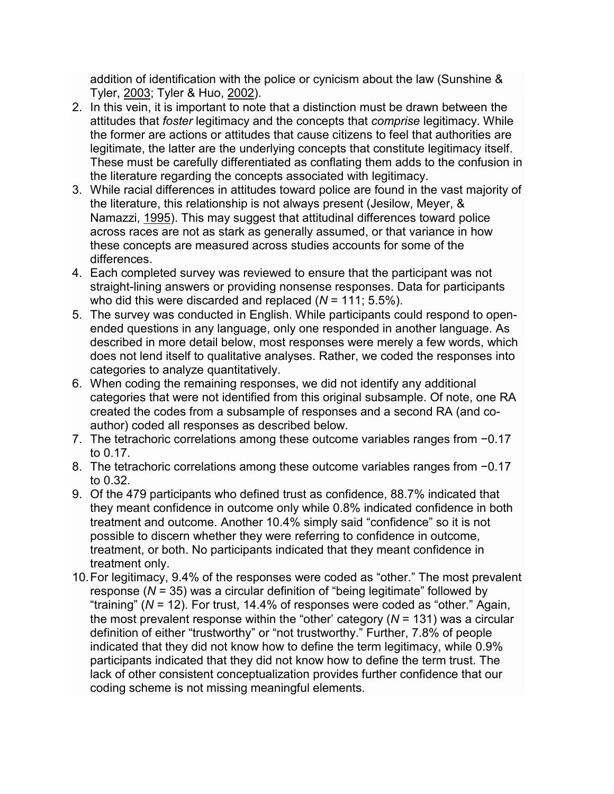addition of identification with the police or cynicism about the law (Sunshine & Tyler, [2003;](https://link.springer.com/article/10.1007/s12103-019-09501-8#ref-CR64) Tyler & Huo, [2002\)](https://link.springer.com/article/10.1007/s12103-019-09501-8#ref-CR80).

- 2. In this vein, it is important to note that a distinction must be drawn between the attitudes that *foster* legitimacy and the concepts that *comprise* legitimacy. While the former are actions or attitudes that cause citizens to feel that authorities are legitimate, the latter are the underlying concepts that constitute legitimacy itself. These must be carefully differentiated as conflating them adds to the confusion in the literature regarding the concepts associated with legitimacy.
- 3. While racial differences in attitudes toward police are found in the vast majority of the literature, this relationship is not always present (Jesilow, Meyer, & Namazzi, [1995\)](https://link.springer.com/article/10.1007/s12103-019-09501-8#ref-CR28). This may suggest that attitudinal differences toward police across races are not as stark as generally assumed, or that variance in how these concepts are measured across studies accounts for some of the differences.
- 4. Each completed survey was reviewed to ensure that the participant was not straight-lining answers or providing nonsense responses. Data for participants who did this were discarded and replaced (*N* = 111; 5.5%).
- 5. The survey was conducted in English. While participants could respond to openended questions in any language, only one responded in another language. As described in more detail below, most responses were merely a few words, which does not lend itself to qualitative analyses. Rather, we coded the responses into categories to analyze quantitatively.
- 6. When coding the remaining responses, we did not identify any additional categories that were not identified from this original subsample. Of note, one RA created the codes from a subsample of responses and a second RA (and coauthor) coded all responses as described below.
- 7. The tetrachoric correlations among these outcome variables ranges from −0.17 to 0.17.
- 8. The tetrachoric correlations among these outcome variables ranges from −0.17 to 0.32.
- 9. Of the 479 participants who defined trust as confidence, 88.7% indicated that they meant confidence in outcome only while 0.8% indicated confidence in both treatment and outcome. Another 10.4% simply said "confidence" so it is not possible to discern whether they were referring to confidence in outcome, treatment, or both. No participants indicated that they meant confidence in treatment only.
- 10.For legitimacy, 9.4% of the responses were coded as "other." The most prevalent response (*N* = 35) was a circular definition of "being legitimate" followed by "training" (*N* = 12). For trust, 14.4% of responses were coded as "other." Again, the most prevalent response within the "other' category (*N* = 131) was a circular definition of either "trustworthy" or "not trustworthy." Further, 7.8% of people indicated that they did not know how to define the term legitimacy, while 0.9% participants indicated that they did not know how to define the term trust. The lack of other consistent conceptualization provides further confidence that our coding scheme is not missing meaningful elements.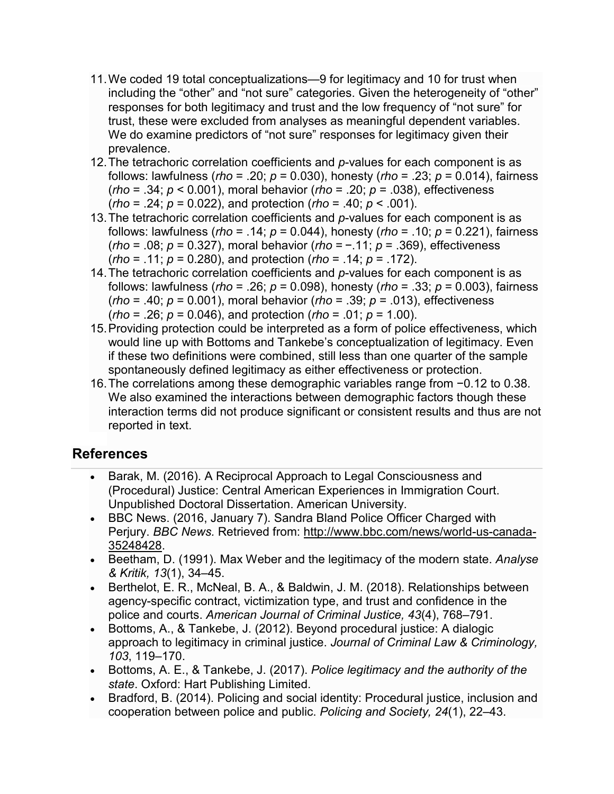- 11.We coded 19 total conceptualizations—9 for legitimacy and 10 for trust when including the "other" and "not sure" categories. Given the heterogeneity of "other" responses for both legitimacy and trust and the low frequency of "not sure" for trust, these were excluded from analyses as meaningful dependent variables. We do examine predictors of "not sure" responses for legitimacy given their prevalence.
- 12.The tetrachoric correlation coefficients and *p*-values for each component is as follows: lawfulness (*rho* = .20; *p* = 0.030), honesty (*rho* = .23; *p* = 0.014), fairness (*rho* = .34; *p* < 0.001), moral behavior (*rho* = .20; *p* = .038), effectiveness (*rho* = .24; *p* = 0.022), and protection (*rho* = .40; *p* < .001).
- 13.The tetrachoric correlation coefficients and *p*-values for each component is as follows: lawfulness (*rho* = .14; *p* = 0.044), honesty (*rho* = .10; *p* = 0.221), fairness (*rho* = .08; *p* = 0.327), moral behavior (*rho* = −.11; *p* = .369), effectiveness (*rho* = .11; *p* = 0.280), and protection (*rho* = .14; *p* = .172).
- 14.The tetrachoric correlation coefficients and *p*-values for each component is as follows: lawfulness (*rho* = .26; *p* = 0.098), honesty (*rho* = .33; *p* = 0.003), fairness (*rho* = .40; *p* = 0.001), moral behavior (*rho* = .39; *p* = .013), effectiveness (*rho* = .26; *p* = 0.046), and protection (*rho* = .01; *p* = 1.00).
- 15.Providing protection could be interpreted as a form of police effectiveness, which would line up with Bottoms and Tankebe's conceptualization of legitimacy. Even if these two definitions were combined, still less than one quarter of the sample spontaneously defined legitimacy as either effectiveness or protection.
- 16.The correlations among these demographic variables range from −0.12 to 0.38. We also examined the interactions between demographic factors though these interaction terms did not produce significant or consistent results and thus are not reported in text.

## **References**

- Barak, M. (2016). A Reciprocal Approach to Legal Consciousness and (Procedural) Justice: Central American Experiences in Immigration Court. Unpublished Doctoral Dissertation. American University.
- BBC News. (2016, January 7). Sandra Bland Police Officer Charged with Perjury. *BBC News.* Retrieved from: [http://www.bbc.com/news/world-us-canada-](http://www.bbc.com/news/world-us-canada-35248428)[35248428](http://www.bbc.com/news/world-us-canada-35248428).
- Beetham, D. (1991). Max Weber and the legitimacy of the modern state. *Analyse & Kritik, 13*(1), 34–45.
- Berthelot, E. R., McNeal, B. A., & Baldwin, J. M. (2018). Relationships between agency-specific contract, victimization type, and trust and confidence in the police and courts. *American Journal of Criminal Justice, 43*(4), 768–791.
- Bottoms, A., & Tankebe, J. (2012). Beyond procedural justice: A dialogic approach to legitimacy in criminal justice. *Journal of Criminal Law & Criminology, 103*, 119–170.
- Bottoms, A. E., & Tankebe, J. (2017). *Police legitimacy and the authority of the state*. Oxford: Hart Publishing Limited.
- Bradford, B. (2014). Policing and social identity: Procedural justice, inclusion and cooperation between police and public. *Policing and Society, 24*(1), 22–43.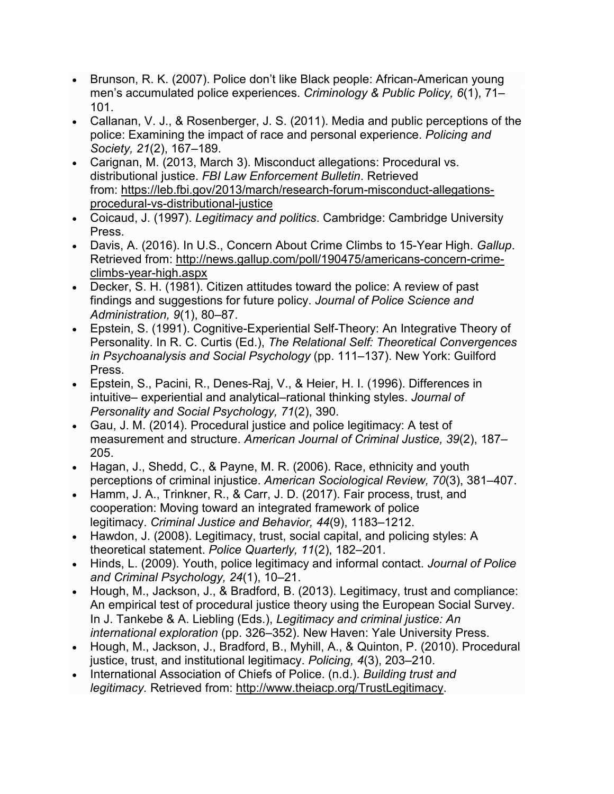- Brunson, R. K. (2007). Police don't like Black people: African-American young men's accumulated police experiences. *Criminology & Public Policy, 6*(1), 71– 101.
- Callanan, V. J., & Rosenberger, J. S. (2011). Media and public perceptions of the police: Examining the impact of race and personal experience. *Policing and Society, 21*(2), 167–189.
- Carignan, M. (2013, March 3). Misconduct allegations: Procedural vs. distributional justice. *FBI Law Enforcement Bulletin*. Retrieved from: https://leb.fbi.gov/2013/march/res[earch-forum-misconduct-allegations](https://leb.fbi.gov/2013/march/research-forum-misconduct-allegations-procedural-vs-distributional-justice)[procedural-vs-distributional-justice](https://leb.fbi.gov/2013/march/research-forum-misconduct-allegations-procedural-vs-distributional-justice)
- Coicaud, J. (1997). *Legitimacy and politics*. Cambridge: Cambridge University Press.
- Davis, A. (2016). In U.S., Concern About Crime Climbs to 15-Year High. *Gallup*. Retrieved from: [http://news.gallup.com/poll/190475/americans](http://news.gallup.com/poll/190475/americans-concern-crime-climbs-year-high.aspx)-concern-crime[climbs-year-high.aspx](http://news.gallup.com/poll/190475/americans-concern-crime-climbs-year-high.aspx)
- Decker, S. H. (1981). Citizen attitudes toward the police: A review of past findings and suggestions for future policy. *Journal of Police Science and Administration, 9*(1), 80–87.
- Epstein, S. (1991). Cognitive-Experiential Self-Theory: An Integrative Theory of Personality. In R. C. Curtis (Ed.), *The Relational Self: Theoretical Convergences in Psychoanalysis and Social Psychology* (pp. 111–137). New York: Guilford Press.
- Epstein, S., Pacini, R., Denes-Raj, V., & Heier, H. I. (1996). Differences in intuitive– experiential and analytical–rational thinking styles. *Journal of Personality and Social Psychology, 71*(2), 390.
- Gau, J. M. (2014). Procedural justice and police legitimacy: A test of measurement and structure. *American Journal of Criminal Justice, 39*(2), 187– 205.
- Hagan, J., Shedd, C., & Payne, M. R. (2006). Race, ethnicity and youth perceptions of criminal injustice. *American Sociological Review, 70*(3), 381–407.
- Hamm, J. A., Trinkner, R., & Carr, J. D. (2017). Fair process, trust, and cooperation: Moving toward an integrated framework of police legitimacy. *Criminal Justice and Behavior, 44*(9), 1183–1212.
- Hawdon, J. (2008). Legitimacy, trust, social capital, and policing styles: A theoretical statement. *Police Quarterly, 11*(2), 182–201.
- Hinds, L. (2009). Youth, police legitimacy and informal contact. *Journal of Police and Criminal Psychology, 24*(1), 10–21.
- Hough, M., Jackson, J., & Bradford, B. (2013). Legitimacy, trust and compliance: An empirical test of procedural justice theory using the European Social Survey. In J. Tankebe & A. Liebling (Eds.), *Legitimacy and criminal justice: An international exploration* (pp. 326–352). New Haven: Yale University Press.
- Hough, M., Jackson, J., Bradford, B., Myhill, A., & Quinton, P. (2010). Procedural justice, trust, and institutional legitimacy. *Policing, 4*(3), 203–210.
- International Association of Chiefs of Police. (n.d.). *Building trust and legitimacy.* Retrieved from: [http://www.theiacp.org/TrustLegitimacy.](http://www.theiacp.org/TrustLegitimacy)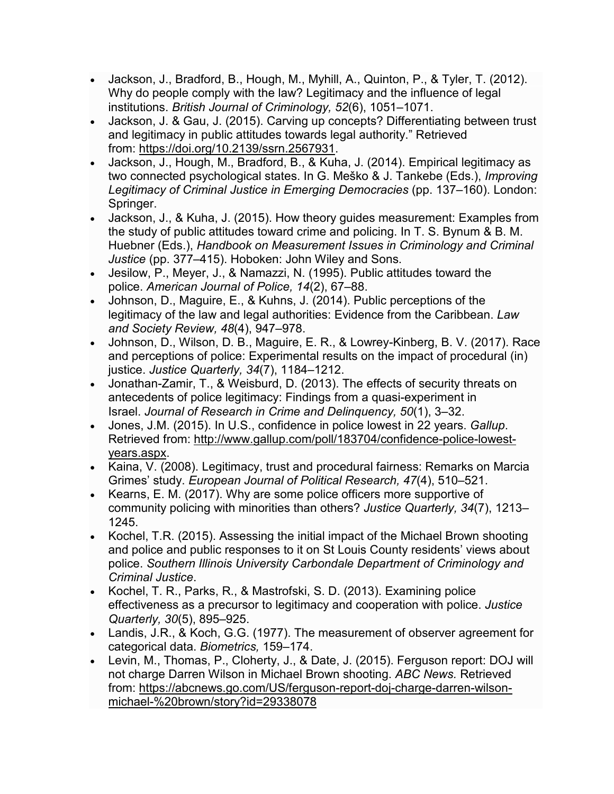- Jackson, J., Bradford, B., Hough, M., Myhill, A., Quinton, P., & Tyler, T. (2012). Why do people comply with the law? Legitimacy and the influence of legal institutions. *British Journal of Criminology, 52*(6), 1051–1071.
- Jackson, J. & Gau, J. (2015). Carving up concepts? Differentiating between trust and legitimacy in public attitudes towards legal authority." Retrieved from: <https://doi.org/10.2139/ssrn.2567931>.
- Jackson, J., Hough, M., Bradford, B., & Kuha, J. (2014). Empirical legitimacy as two connected psychological states. In G. Meško & J. Tankebe (Eds.), *Improving Legitimacy of Criminal Justice in Emerging Democracies* (pp. 137–160). London: Springer.
- Jackson, J., & Kuha, J. (2015). How theory guides measurement: Examples from the study of public attitudes toward crime and policing. In T. S. Bynum & B. M. Huebner (Eds.), *Handbook on Measurement Issues in Criminology and Criminal Justice* (pp. 377–415). Hoboken: John Wiley and Sons.
- Jesilow, P., Meyer, J., & Namazzi, N. (1995). Public attitudes toward the police. *American Journal of Police, 14*(2), 67–88.
- Johnson, D., Maguire, E., & Kuhns, J. (2014). Public perceptions of the legitimacy of the law and legal authorities: Evidence from the Caribbean. *Law and Society Review, 48*(4), 947–978.
- Johnson, D., Wilson, D. B., Maguire, E. R., & Lowrey-Kinberg, B. V. (2017). Race and perceptions of police: Experimental results on the impact of procedural (in) justice. *Justice Quarterly, 34*(7), 1184–1212.
- Jonathan-Zamir, T., & Weisburd, D. (2013). The effects of security threats on antecedents of police legitimacy: Findings from a quasi-experiment in Israel. *Journal of Research in Crime and Delinquency, 50*(1), 3–32.
- Jones, J.M. (2015). In U.S., confidence in police lowest in 22 years. *Gallup*. Retrieved from: [http://www.gallup.com/poll/183704/confidence](http://www.gallup.com/poll/183704/confidence-police-lowest-years.aspx)-police-lowest[years.aspx.](http://www.gallup.com/poll/183704/confidence-police-lowest-years.aspx)
- Kaina, V. (2008). Legitimacy, trust and procedural fairness: Remarks on Marcia Grimes' study. *European Journal of Political Research, 47*(4), 510–521.
- Kearns, E. M. (2017). Why are some police officers more supportive of community policing with minorities than others? *Justice Quarterly, 34*(7), 1213– 1245.
- Kochel, T.R. (2015). Assessing the initial impact of the Michael Brown shooting and police and public responses to it on St Louis County residents' views about police. *Southern Illinois University Carbondale Department of Criminology and Criminal Justice*.
- Kochel, T. R., Parks, R., & Mastrofski, S. D. (2013). Examining police effectiveness as a precursor to legitimacy and cooperation with police. *Justice Quarterly, 30*(5), 895–925.
- Landis, J.R., & Koch, G.G. (1977). The measurement of observer agreement for categorical data. *Biometrics,* 159–174.
- Levin, M., Thomas, P., Cloherty, J., & Date, J. (2015). Ferguson report: DOJ will not charge Darren Wilson in Michael Brown shooting. *ABC News.* Retrieved from: [https://abcnews.go.com/US/ferguson](https://abcnews.go.com/US/ferguson-report-doj-charge-darren-wilson-michael-%20brown/story?id=29338078)-report-doj-charge-darren-wilsonmichael-[%20brown/story?id=29338078](https://abcnews.go.com/US/ferguson-report-doj-charge-darren-wilson-michael-%20brown/story?id=29338078)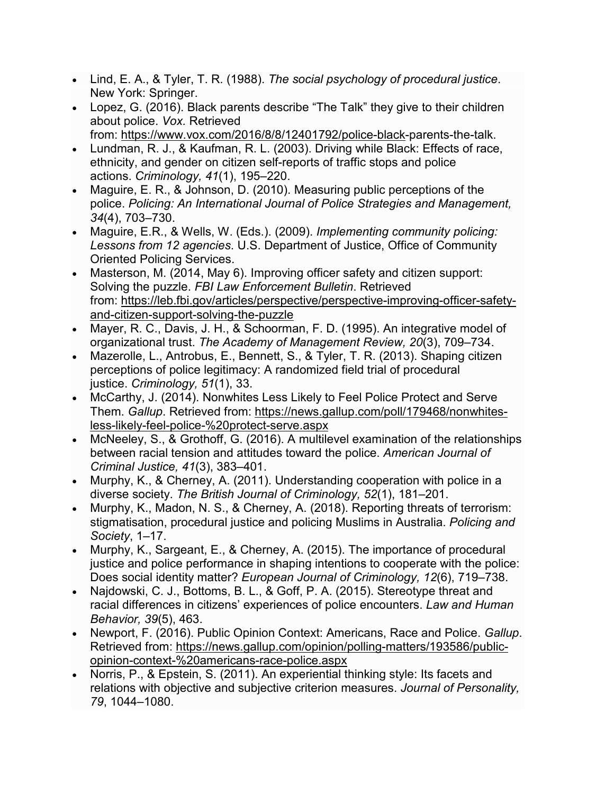- Lind, E. A., & Tyler, T. R. (1988). *The social psychology of procedural justice*. New York: Springer.
- Lopez, G. (2016). Black parents describe "The Talk" they give to their children about police. *Vox.* Retrieved from: [https://www.vox.com/2016/8/8/12401792/police](https://www.vox.com/2016/8/8/12401792/police-black-)-black-parents-the-talk.
- Lundman, R. J., & Kaufman, R. L. (2003). Driving while Black: Effects of race, ethnicity, and gender on citizen self-reports of traffic stops and police actions. *Criminology, 41*(1), 195–220.
- Maguire, E. R., & Johnson, D. (2010). Measuring public perceptions of the police. *Policing: An International Journal of Police Strategies and Management, 34*(4), 703–730.
- Maguire, E.R., & Wells, W. (Eds.). (2009). *Implementing community policing: Lessons from 12 agencies*. U.S. Department of Justice, Office of Community Oriented Policing Services.
- Masterson, M. (2014, May 6). Improving officer safety and citizen support: Solving the puzzle. *FBI Law Enforcement Bulletin*. Retrieved from: [https://leb.fbi.gov/articles/perspective/perspective-improving-officer-safety](https://leb.fbi.gov/articles/perspective/perspective-improving-officer-safety-and-citizen-support-solving-the-puzzle)[and-citizen-support-solving-the-puzzle](https://leb.fbi.gov/articles/perspective/perspective-improving-officer-safety-and-citizen-support-solving-the-puzzle)
- Mayer, R. C., Davis, J. H., & Schoorman, F. D. (1995). An integrative model of organizational trust. *The Academy of Management Review, 20*(3), 709–734.
- Mazerolle, L., Antrobus, E., Bennett, S., & Tyler, T. R. (2013). Shaping citizen perceptions of police legitimacy: A randomized field trial of procedural justice. *Criminology, 51*(1), 33.
- McCarthy, J. (2014). Nonwhites Less Likely to Feel Police Protect and Serve Them. *Gallup*. Retrieved from: [https://news.gallup.com/poll/179468/nonwhites](https://news.gallup.com/poll/179468/nonwhites-less-likely-feel-police-%20protect-serve.aspx)[less-likely-feel-police-](https://news.gallup.com/poll/179468/nonwhites-less-likely-feel-police-%20protect-serve.aspx)%20protect-serve.aspx
- McNeeley, S., & Grothoff, G. (2016). A multilevel examination of the relationships between racial tension and attitudes toward the police. *American Journal of Criminal Justice, 41*(3), 383–401.
- Murphy, K., & Cherney, A. (2011). Understanding cooperation with police in a diverse society. *The British Journal of Criminology, 52*(1), 181–201.
- Murphy, K., Madon, N. S., & Cherney, A. (2018). Reporting threats of terrorism: stigmatisation, procedural justice and policing Muslims in Australia. *Policing and Society*, 1–17.
- Murphy, K., Sargeant, E., & Cherney, A. (2015). The importance of procedural justice and police performance in shaping intentions to cooperate with the police: Does social identity matter? *European Journal of Criminology, 12*(6), 719–738.
- Najdowski, C. J., Bottoms, B. L., & Goff, P. A. (2015). Stereotype threat and racial differences in citizens' experiences of police encounters. *Law and Human Behavior, 39*(5), 463.
- Newport, F. (2016). Public Opinion Context: Americans, Race and Police. *Gallup*. Retrieved from: [https://news.gallup.com/opinion/polling-](https://news.gallup.com/opinion/polling-matters/193586/public-opinion-context-%20americans-race-police.aspx)matters/193586/publicopinion-context-%20americans[-race-police.aspx](https://news.gallup.com/opinion/polling-matters/193586/public-opinion-context-%20americans-race-police.aspx)
- Norris, P., & Epstein, S. (2011). An experiential thinking style: Its facets and relations with objective and subjective criterion measures. *Journal of Personality, 79*, 1044–1080.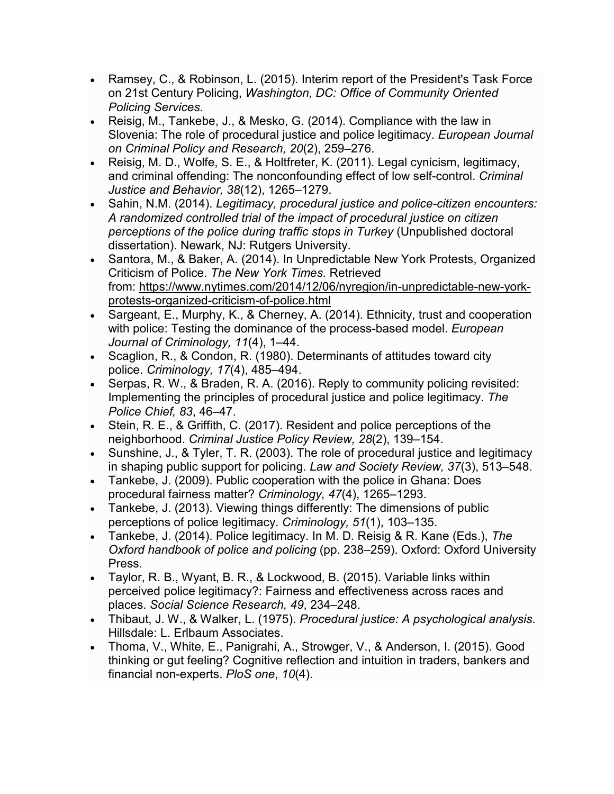- Ramsey, C., & Robinson, L. (2015). Interim report of the President's Task Force on 21st Century Policing, *Washington, DC: Office of Community Oriented Policing Services*.
- Reisig, M., Tankebe, J., & Mesko, G. (2014). Compliance with the law in Slovenia: The role of procedural justice and police legitimacy. *European Journal on Criminal Policy and Research, 20*(2), 259–276.
- Reisig, M. D., Wolfe, S. E., & Holtfreter, K. (2011). Legal cynicism, legitimacy, and criminal offending: The nonconfounding effect of low self-control. *Criminal Justice and Behavior, 38*(12), 1265–1279.
- Sahin, N.M. (2014). *Legitimacy, procedural justice and police-citizen encounters: A randomized controlled trial of the impact of procedural justice on citizen perceptions of the police during traffic stops in Turkey* (Unpublished doctoral dissertation). Newark, NJ: Rutgers University.
- Santora, M., & Baker, A. (2014). In Unpredictable New York Protests, Organized Criticism of Police. *The New York Times.* Retrieved from: [https://www.nytimes.com/2014/12/06/nyregion/in](https://www.nytimes.com/2014/12/06/nyregion/in-unpredictable-new-york-protests-organized-criticism-of-police.html)-unpredictable-new-york[protests-organized-criticism-of-police.html](https://www.nytimes.com/2014/12/06/nyregion/in-unpredictable-new-york-protests-organized-criticism-of-police.html)
- Sargeant, E., Murphy, K., & Cherney, A. (2014). Ethnicity, trust and cooperation with police: Testing the dominance of the process-based model. *European Journal of Criminology, 11*(4), 1–44.
- Scaglion, R., & Condon, R. (1980). Determinants of attitudes toward city police. *Criminology, 17*(4), 485–494.
- Serpas, R. W., & Braden, R. A. (2016). Reply to community policing revisited: Implementing the principles of procedural justice and police legitimacy. *The Police Chief, 83*, 46–47.
- Stein, R. E., & Griffith, C. (2017). Resident and police perceptions of the neighborhood. *Criminal Justice Policy Review, 28*(2), 139–154.
- Sunshine, J., & Tyler, T. R. (2003). The role of procedural justice and legitimacy in shaping public support for policing. *Law and Society Review, 37*(3), 513–548.
- Tankebe, J. (2009). Public cooperation with the police in Ghana: Does procedural fairness matter? *Criminology, 47*(4), 1265–1293.
- Tankebe, J. (2013). Viewing things differently: The dimensions of public perceptions of police legitimacy. *Criminology, 51*(1), 103–135.
- Tankebe, J. (2014). Police legitimacy. In M. D. Reisig & R. Kane (Eds.), *The Oxford handbook of police and policing* (pp. 238–259). Oxford: Oxford University Press.
- Taylor, R. B., Wyant, B. R., & Lockwood, B. (2015). Variable links within perceived police legitimacy?: Fairness and effectiveness across races and places. *Social Science Research, 49*, 234–248.
- Thibaut, J. W., & Walker, L. (1975). *Procedural justice: A psychological analysis*. Hillsdale: L. Erlbaum Associates.
- Thoma, V., White, E., Panigrahi, A., Strowger, V., & Anderson, I. (2015). Good thinking or gut feeling? Cognitive reflection and intuition in traders, bankers and financial non-experts. *PloS one*, *10*(4).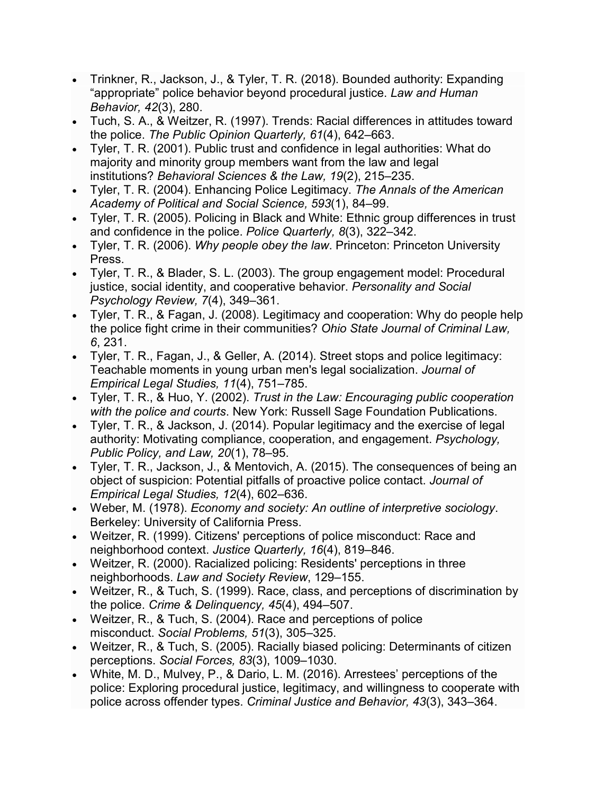- Trinkner, R., Jackson, J., & Tyler, T. R. (2018). Bounded authority: Expanding "appropriate" police behavior beyond procedural justice. *Law and Human Behavior, 42*(3), 280.
- Tuch, S. A., & Weitzer, R. (1997). Trends: Racial differences in attitudes toward the police. *The Public Opinion Quarterly, 61*(4), 642–663.
- Tyler, T. R. (2001). Public trust and confidence in legal authorities: What do majority and minority group members want from the law and legal institutions? *Behavioral Sciences & the Law, 19*(2), 215–235.
- Tyler, T. R. (2004). Enhancing Police Legitimacy. *The Annals of the American Academy of Political and Social Science, 593*(1), 84–99.
- Tyler, T. R. (2005). Policing in Black and White: Ethnic group differences in trust and confidence in the police. *Police Quarterly, 8*(3), 322–342.
- Tyler, T. R. (2006). *Why people obey the law*. Princeton: Princeton University Press.
- Tyler, T. R., & Blader, S. L. (2003). The group engagement model: Procedural justice, social identity, and cooperative behavior. *Personality and Social Psychology Review, 7*(4), 349–361.
- Tyler, T. R., & Fagan, J. (2008). Legitimacy and cooperation: Why do people help the police fight crime in their communities? *Ohio State Journal of Criminal Law, 6*, 231.
- Tyler, T. R., Fagan, J., & Geller, A. (2014). Street stops and police legitimacy: Teachable moments in young urban men's legal socialization. *Journal of Empirical Legal Studies, 11*(4), 751–785.
- Tyler, T. R., & Huo, Y. (2002). *Trust in the Law: Encouraging public cooperation with the police and courts*. New York: Russell Sage Foundation Publications.
- Tyler, T. R., & Jackson, J. (2014). Popular legitimacy and the exercise of legal authority: Motivating compliance, cooperation, and engagement. *Psychology, Public Policy, and Law, 20*(1), 78–95.
- Tyler, T. R., Jackson, J., & Mentovich, A. (2015). The consequences of being an object of suspicion: Potential pitfalls of proactive police contact. *Journal of Empirical Legal Studies, 12*(4), 602–636.
- Weber, M. (1978). *Economy and society: An outline of interpretive sociology*. Berkeley: University of California Press.
- Weitzer, R. (1999). Citizens' perceptions of police misconduct: Race and neighborhood context. *Justice Quarterly, 16*(4), 819–846.
- Weitzer, R. (2000). Racialized policing: Residents' perceptions in three neighborhoods. *Law and Society Review*, 129–155.
- Weitzer, R., & Tuch, S. (1999). Race, class, and perceptions of discrimination by the police. *Crime & Delinquency, 45*(4), 494–507.
- Weitzer, R., & Tuch, S. (2004). Race and perceptions of police misconduct. *Social Problems, 51*(3), 305–325.
- Weitzer, R., & Tuch, S. (2005). Racially biased policing: Determinants of citizen perceptions. *Social Forces, 83*(3), 1009–1030.
- White, M. D., Mulvey, P., & Dario, L. M. (2016). Arrestees' perceptions of the police: Exploring procedural justice, legitimacy, and willingness to cooperate with police across offender types. *Criminal Justice and Behavior, 43*(3), 343–364.